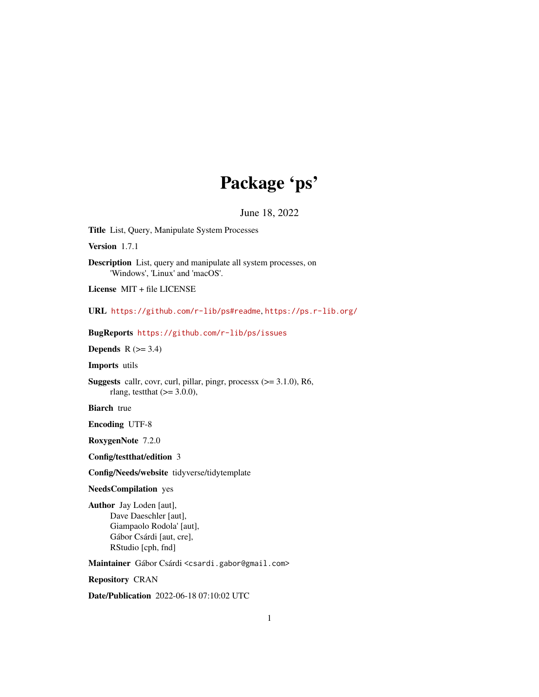# Package 'ps'

June 18, 2022

<span id="page-0-0"></span>Title List, Query, Manipulate System Processes

Version 1.7.1

Description List, query and manipulate all system processes, on 'Windows', 'Linux' and 'macOS'.

License MIT + file LICENSE

URL <https://github.com/r-lib/ps#readme>, <https://ps.r-lib.org/>

BugReports <https://github.com/r-lib/ps/issues>

**Depends**  $R$  ( $>= 3.4$ )

Imports utils

Suggests callr, covr, curl, pillar, pingr, processx (>= 3.1.0), R6, rlang, testthat  $(>= 3.0.0)$ ,

**Biarch** true

Encoding UTF-8

RoxygenNote 7.2.0

Config/testthat/edition 3

Config/Needs/website tidyverse/tidytemplate

NeedsCompilation yes

Author Jay Loden [aut], Dave Daeschler [aut], Giampaolo Rodola' [aut], Gábor Csárdi [aut, cre], RStudio [cph, fnd]

Maintainer Gábor Csárdi <csardi.gabor@gmail.com>

Repository CRAN

Date/Publication 2022-06-18 07:10:02 UTC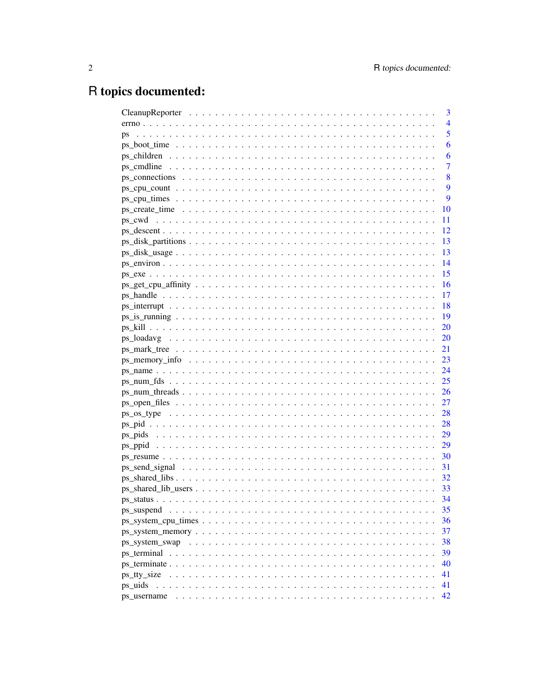# R topics documented:

|                                                                                                                               |  |  |  |  |  |  |  |  |  |  |  |  |  |  | 3              |
|-------------------------------------------------------------------------------------------------------------------------------|--|--|--|--|--|--|--|--|--|--|--|--|--|--|----------------|
|                                                                                                                               |  |  |  |  |  |  |  |  |  |  |  |  |  |  | $\overline{4}$ |
| ps                                                                                                                            |  |  |  |  |  |  |  |  |  |  |  |  |  |  | 5              |
|                                                                                                                               |  |  |  |  |  |  |  |  |  |  |  |  |  |  | 6              |
|                                                                                                                               |  |  |  |  |  |  |  |  |  |  |  |  |  |  | 6              |
|                                                                                                                               |  |  |  |  |  |  |  |  |  |  |  |  |  |  | $\overline{7}$ |
|                                                                                                                               |  |  |  |  |  |  |  |  |  |  |  |  |  |  | 8              |
|                                                                                                                               |  |  |  |  |  |  |  |  |  |  |  |  |  |  | 9              |
|                                                                                                                               |  |  |  |  |  |  |  |  |  |  |  |  |  |  | 9              |
|                                                                                                                               |  |  |  |  |  |  |  |  |  |  |  |  |  |  | 10             |
|                                                                                                                               |  |  |  |  |  |  |  |  |  |  |  |  |  |  | 11             |
|                                                                                                                               |  |  |  |  |  |  |  |  |  |  |  |  |  |  | 12             |
|                                                                                                                               |  |  |  |  |  |  |  |  |  |  |  |  |  |  | -13            |
|                                                                                                                               |  |  |  |  |  |  |  |  |  |  |  |  |  |  | -13            |
|                                                                                                                               |  |  |  |  |  |  |  |  |  |  |  |  |  |  | 14             |
|                                                                                                                               |  |  |  |  |  |  |  |  |  |  |  |  |  |  | $-15$          |
| $ps\_get\_cpu\_affinity \dots \dots \dots \dots \dots \dots \dots \dots \dots \dots \dots \dots \dots$                        |  |  |  |  |  |  |  |  |  |  |  |  |  |  | - 16           |
|                                                                                                                               |  |  |  |  |  |  |  |  |  |  |  |  |  |  | 17             |
| $ps\_interrupt \dots \dots \dots \dots \dots \dots \dots \dots \dots \dots \dots \dots \dots \dots \dots \dots \dots$         |  |  |  |  |  |  |  |  |  |  |  |  |  |  | - 18           |
|                                                                                                                               |  |  |  |  |  |  |  |  |  |  |  |  |  |  | - 19           |
|                                                                                                                               |  |  |  |  |  |  |  |  |  |  |  |  |  |  |                |
|                                                                                                                               |  |  |  |  |  |  |  |  |  |  |  |  |  |  |                |
|                                                                                                                               |  |  |  |  |  |  |  |  |  |  |  |  |  |  |                |
|                                                                                                                               |  |  |  |  |  |  |  |  |  |  |  |  |  |  |                |
|                                                                                                                               |  |  |  |  |  |  |  |  |  |  |  |  |  |  |                |
|                                                                                                                               |  |  |  |  |  |  |  |  |  |  |  |  |  |  |                |
|                                                                                                                               |  |  |  |  |  |  |  |  |  |  |  |  |  |  |                |
|                                                                                                                               |  |  |  |  |  |  |  |  |  |  |  |  |  |  |                |
|                                                                                                                               |  |  |  |  |  |  |  |  |  |  |  |  |  |  |                |
|                                                                                                                               |  |  |  |  |  |  |  |  |  |  |  |  |  |  |                |
|                                                                                                                               |  |  |  |  |  |  |  |  |  |  |  |  |  |  |                |
|                                                                                                                               |  |  |  |  |  |  |  |  |  |  |  |  |  |  |                |
|                                                                                                                               |  |  |  |  |  |  |  |  |  |  |  |  |  |  |                |
|                                                                                                                               |  |  |  |  |  |  |  |  |  |  |  |  |  |  | -31            |
|                                                                                                                               |  |  |  |  |  |  |  |  |  |  |  |  |  |  | - 32           |
|                                                                                                                               |  |  |  |  |  |  |  |  |  |  |  |  |  |  | 33             |
|                                                                                                                               |  |  |  |  |  |  |  |  |  |  |  |  |  |  | 34             |
| ps suspend                                                                                                                    |  |  |  |  |  |  |  |  |  |  |  |  |  |  | 35             |
|                                                                                                                               |  |  |  |  |  |  |  |  |  |  |  |  |  |  | 36             |
| $ps\_system\_memory \dots \dots \dots \dots \dots \dots \dots \dots \dots \dots \dots \dots \dots \dots \dots$                |  |  |  |  |  |  |  |  |  |  |  |  |  |  | 37             |
|                                                                                                                               |  |  |  |  |  |  |  |  |  |  |  |  |  |  | 38             |
|                                                                                                                               |  |  |  |  |  |  |  |  |  |  |  |  |  |  | 39             |
|                                                                                                                               |  |  |  |  |  |  |  |  |  |  |  |  |  |  | 40             |
| ps tty size<br>a dia kaominina mpikambana amin'ny fivondronan-kaominin'i Nouvelle-Aquitaine, ao amin'ny faritr'i Nouvelle-Aqu |  |  |  |  |  |  |  |  |  |  |  |  |  |  | 41             |
| ps uids                                                                                                                       |  |  |  |  |  |  |  |  |  |  |  |  |  |  | 41             |
| ps username                                                                                                                   |  |  |  |  |  |  |  |  |  |  |  |  |  |  | 42             |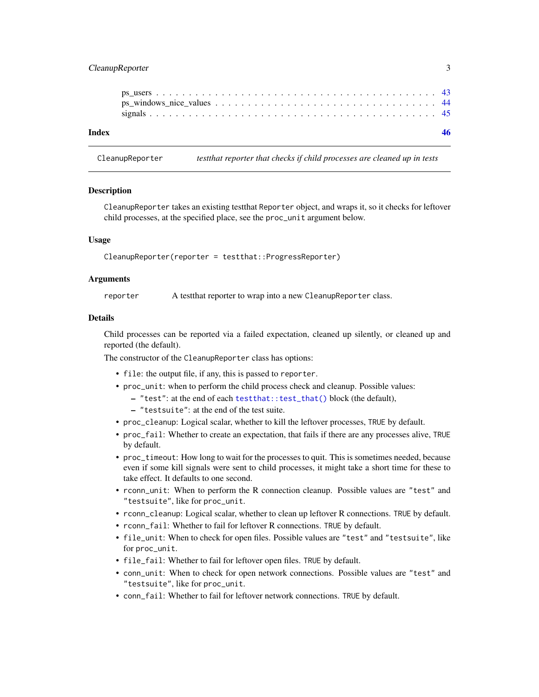# <span id="page-2-0"></span>CleanupReporter 3

| Index |  |  |  |  |  |  |  |  |  |  |  |  |  |  |  |  |
|-------|--|--|--|--|--|--|--|--|--|--|--|--|--|--|--|--|
|       |  |  |  |  |  |  |  |  |  |  |  |  |  |  |  |  |
|       |  |  |  |  |  |  |  |  |  |  |  |  |  |  |  |  |
|       |  |  |  |  |  |  |  |  |  |  |  |  |  |  |  |  |
|       |  |  |  |  |  |  |  |  |  |  |  |  |  |  |  |  |

CleanupReporter *testthat reporter that checks if child processes are cleaned up in tests*

### **Description**

CleanupReporter takes an existing testthat Reporter object, and wraps it, so it checks for leftover child processes, at the specified place, see the proc\_unit argument below.

### Usage

CleanupReporter(reporter = testthat::ProgressReporter)

### Arguments

reporter A test that reporter to wrap into a new CleanupReporter class.

### Details

Child processes can be reported via a failed expectation, cleaned up silently, or cleaned up and reported (the default).

The constructor of the CleanupReporter class has options:

- file: the output file, if any, this is passed to reporter.
- proc\_unit: when to perform the child process check and cleanup. Possible values:
	- "test": at the end of each [testthat::test\\_that\(\)](#page-0-0) block (the default),
	- "testsuite": at the end of the test suite.
- proc\_cleanup: Logical scalar, whether to kill the leftover processes, TRUE by default.
- proc\_fail: Whether to create an expectation, that fails if there are any processes alive, TRUE by default.
- proc\_timeout: How long to wait for the processes to quit. This is sometimes needed, because even if some kill signals were sent to child processes, it might take a short time for these to take effect. It defaults to one second.
- rconn\_unit: When to perform the R connection cleanup. Possible values are "test" and "testsuite", like for proc\_unit.
- rconn\_cleanup: Logical scalar, whether to clean up leftover R connections. TRUE by default.
- rconn\_fail: Whether to fail for leftover R connections. TRUE by default.
- file\_unit: When to check for open files. Possible values are "test" and "testsuite", like for proc\_unit.
- file\_fail: Whether to fail for leftover open files. TRUE by default.
- conn\_unit: When to check for open network connections. Possible values are "test" and "testsuite", like for proc\_unit.
- conn\_fail: Whether to fail for leftover network connections. TRUE by default.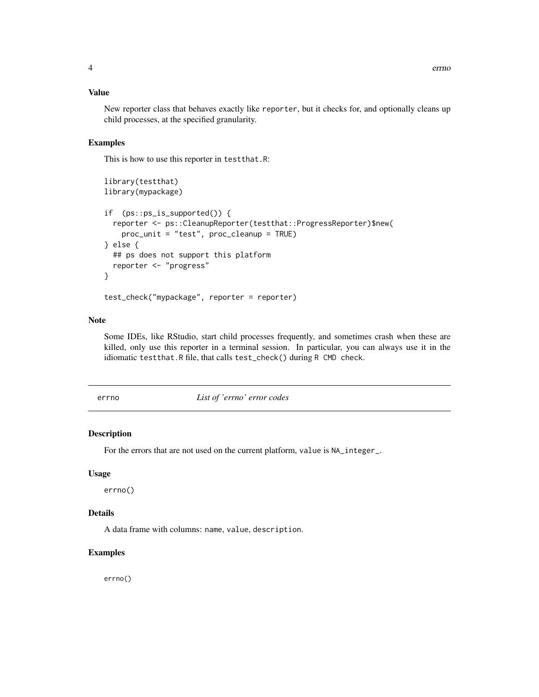# <span id="page-3-0"></span>Value

New reporter class that behaves exactly like reporter, but it checks for, and optionally cleans up child processes, at the specified granularity.

### Examples

This is how to use this reporter in testthat.R:

```
library(testthat)
library(mypackage)
if (ps::ps_is_supported()) {
 reporter <- ps::CleanupReporter(testthat::ProgressReporter)$new(
   proc_unit = "test", proc_cleanup = TRUE)
} else {
 ## ps does not support this platform
 reporter <- "progress"
}
test_check("mypackage", reporter = reporter)
```
### Note

Some IDEs, like RStudio, start child processes frequently, and sometimes crash when these are killed, only use this reporter in a terminal session. In particular, you can always use it in the idiomatic testthat.R file, that calls test\_check() during R CMD check.

errno *List of 'errno' error codes*

### Description

For the errors that are not used on the current platform, value is NA\_integer\_.

#### Usage

errno()

### Details

A data frame with columns: name, value, description.

### Examples

errno()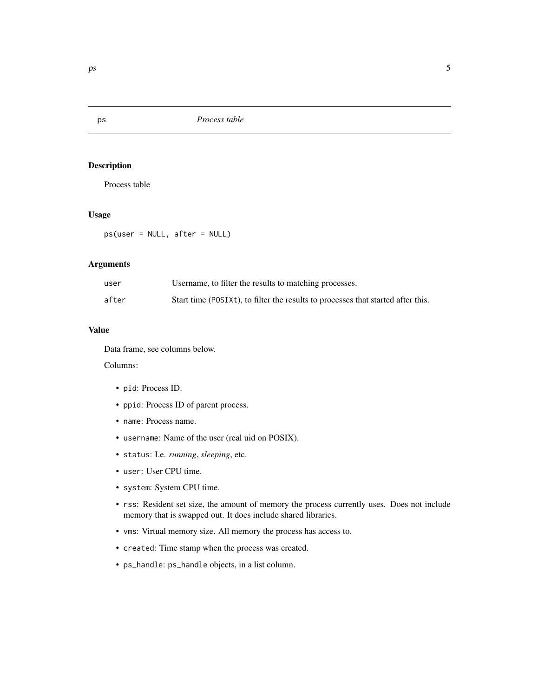Process table

# Usage

ps(user = NULL, after = NULL)

### Arguments

| user  | Username, to filter the results to matching processes.                           |
|-------|----------------------------------------------------------------------------------|
| after | Start time (POSIXt), to filter the results to processes that started after this. |

### Value

Data frame, see columns below.

Columns:

- pid: Process ID.
- ppid: Process ID of parent process.
- name: Process name.
- username: Name of the user (real uid on POSIX).
- status: I.e. *running*, *sleeping*, etc.
- user: User CPU time.
- system: System CPU time.
- rss: Resident set size, the amount of memory the process currently uses. Does not include memory that is swapped out. It does include shared libraries.
- vms: Virtual memory size. All memory the process has access to.
- created: Time stamp when the process was created.
- ps\_handle: ps\_handle objects, in a list column.

# <span id="page-4-0"></span>ps *Process table*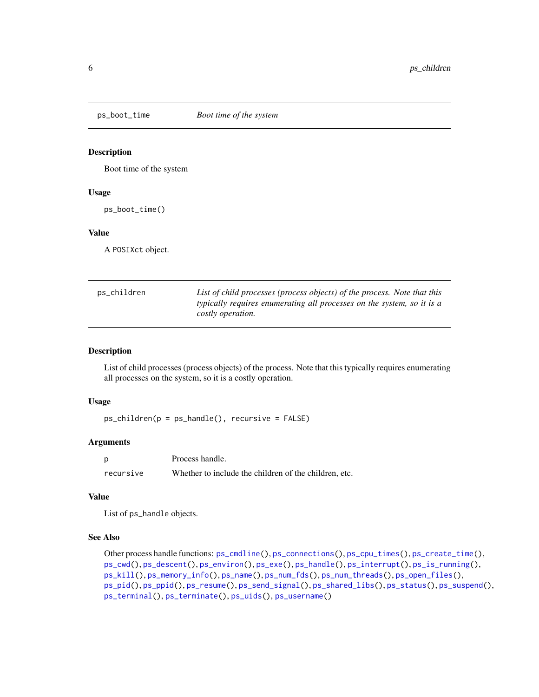<span id="page-5-0"></span>

Boot time of the system

### Usage

ps\_boot\_time()

### Value

A POSIXct object.

<span id="page-5-1"></span>

| ps_children | List of child processes (process objects) of the process. Note that this |
|-------------|--------------------------------------------------------------------------|
|             | typically requires enumerating all processes on the system, so it is a   |
|             | costly operation.                                                        |

### Description

List of child processes (process objects) of the process. Note that this typically requires enumerating all processes on the system, so it is a costly operation.

#### Usage

ps\_children(p = ps\_handle(), recursive = FALSE)

## Arguments

|           | Process handle.                                       |
|-----------|-------------------------------------------------------|
| recursive | Whether to include the children of the children, etc. |

#### Value

List of ps\_handle objects.

# See Also

```
Other process handle functions: ps_cmdline(), ps_connections(), ps_cpu_times(), ps_create_time(),
ps_cwd(), ps_descent(), ps_environ(), ps_exe(), ps_handle(), ps_interrupt(), ps_is_running(),
ps_kill(), ps_memory_info(), ps_name(), ps_num_fds(), ps_num_threads(), ps_open_files(),
ps_pid(), ps_ppid(), ps_resume(), ps_send_signal(), ps_shared_libs(), ps_status(), ps_suspend(),
ps_terminal(), ps_terminate(), ps_uids(), ps_username()
```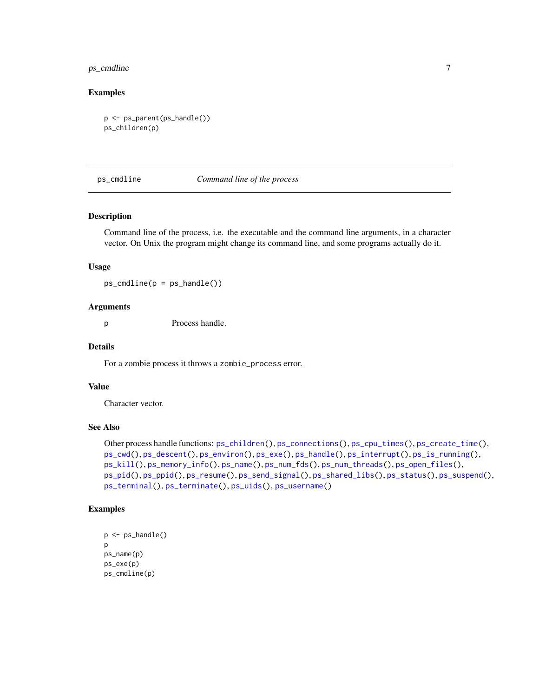# <span id="page-6-0"></span>ps\_cmdline 7

### Examples

```
p <- ps_parent(ps_handle())
ps_children(p)
```
### <span id="page-6-1"></span>ps\_cmdline *Command line of the process*

### Description

Command line of the process, i.e. the executable and the command line arguments, in a character vector. On Unix the program might change its command line, and some programs actually do it.

### Usage

 $ps\_cmdline(p = ps\_handle())$ 

### Arguments

p Process handle.

#### Details

For a zombie process it throws a zombie\_process error.

## Value

Character vector.

# See Also

```
Other process handle functions: ps_children(), ps_connections(), ps_cpu_times(), ps_create_time(),
ps_cwd(), ps_descent(), ps_environ(), ps_exe(), ps_handle(), ps_interrupt(), ps_is_running(),
ps_kill(), ps_memory_info(), ps_name(), ps_num_fds(), ps_num_threads(), ps_open_files(),
ps_pid(), ps_ppid(), ps_resume(), ps_send_signal(), ps_shared_libs(), ps_status(), ps_suspend(),
ps_terminal(), ps_terminate(), ps_uids(), ps_username()
```
# Examples

```
p <- ps_handle()
p
ps_name(p)
ps_exe(p)
ps_cmdline(p)
```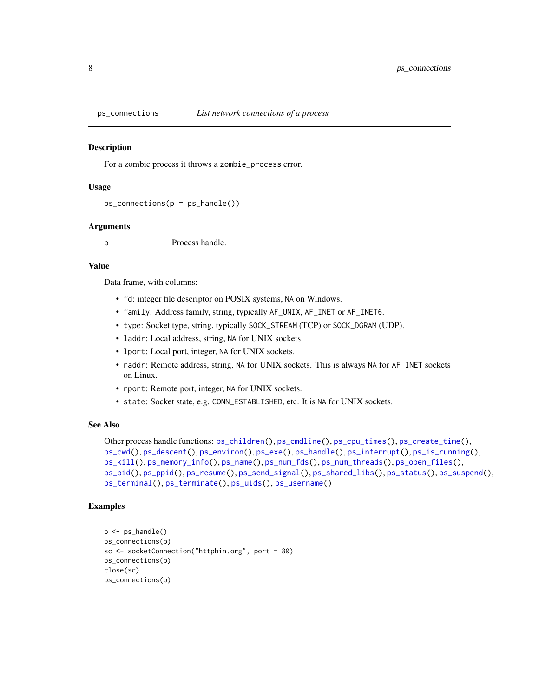<span id="page-7-1"></span><span id="page-7-0"></span>

For a zombie process it throws a zombie\_process error.

#### Usage

```
ps_{\text{1}} connections(p = ps_{\text{1}} handle())
```
### Arguments

p Process handle.

### Value

Data frame, with columns:

- fd: integer file descriptor on POSIX systems, NA on Windows.
- family: Address family, string, typically AF\_UNIX, AF\_INET or AF\_INET6.
- type: Socket type, string, typically SOCK\_STREAM (TCP) or SOCK\_DGRAM (UDP).
- laddr: Local address, string, NA for UNIX sockets.
- lport: Local port, integer, NA for UNIX sockets.
- raddr: Remote address, string, NA for UNIX sockets. This is always NA for AF\_INET sockets on Linux.
- rport: Remote port, integer, NA for UNIX sockets.
- state: Socket state, e.g. CONN\_ESTABLISHED, etc. It is NA for UNIX sockets.

### See Also

```
Other process handle functions: ps_children(), ps_cmdline(), ps_cpu_times(), ps_create_time(),
ps_cwd(), ps_descent(), ps_environ(), ps_exe(), ps_handle(), ps_interrupt(), ps_is_running(),
ps_kill(), ps_memory_info(), ps_name(), ps_num_fds(), ps_num_threads(), ps_open_files(),
ps_pid(), ps_ppid(), ps_resume(), ps_send_signal(), ps_shared_libs(), ps_status(), ps_suspend(),
ps_terminal(), ps_terminate(), ps_uids(), ps_username()
```
### Examples

```
p \leftarrow ps\_handle()ps_connections(p)
sc <- socketConnection("httpbin.org", port = 80)
ps_connections(p)
close(sc)
ps_connections(p)
```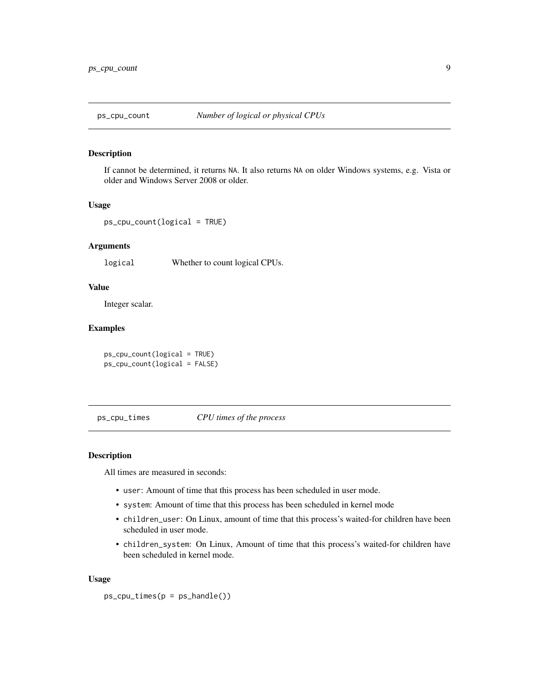<span id="page-8-2"></span><span id="page-8-0"></span>

If cannot be determined, it returns NA. It also returns NA on older Windows systems, e.g. Vista or older and Windows Server 2008 or older.

### Usage

ps\_cpu\_count(logical = TRUE)

## Arguments

logical Whether to count logical CPUs.

# Value

Integer scalar.

# Examples

ps\_cpu\_count(logical = TRUE) ps\_cpu\_count(logical = FALSE)

<span id="page-8-1"></span>ps\_cpu\_times *CPU times of the process*

# Description

All times are measured in seconds:

- user: Amount of time that this process has been scheduled in user mode.
- system: Amount of time that this process has been scheduled in kernel mode
- children\_user: On Linux, amount of time that this process's waited-for children have been scheduled in user mode.
- children\_system: On Linux, Amount of time that this process's waited-for children have been scheduled in kernel mode.

#### Usage

```
ps_cpu_time(p = ps_handle())
```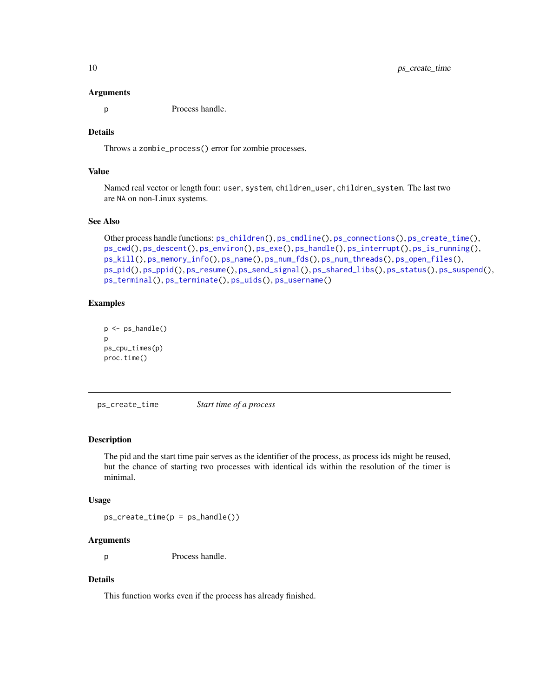#### Arguments

p Process handle.

# Details

Throws a zombie\_process() error for zombie processes.

# Value

Named real vector or length four: user, system, children\_user, children\_system. The last two are NA on non-Linux systems.

### See Also

```
Other process handle functions: ps_children(), ps_cmdline(), ps_connections(), ps_create_time(),
ps_cwd(), ps_descent(), ps_environ(), ps_exe(), ps_handle(), ps_interrupt(), ps_is_running(),
ps_kill(), ps_memory_info(), ps_name(), ps_num_fds(), ps_num_threads(), ps_open_files(),
ps_pid(), ps_ppid(), ps_resume(), ps_send_signal(), ps_shared_libs(), ps_status(), ps_suspend(),
ps_terminal(), ps_terminate(), ps_uids(), ps_username()
```
### Examples

```
p <- ps_handle()
p
ps_cpu_times(p)
proc.time()
```
<span id="page-9-1"></span>ps\_create\_time *Start time of a process*

#### Description

The pid and the start time pair serves as the identifier of the process, as process ids might be reused, but the chance of starting two processes with identical ids within the resolution of the timer is minimal.

#### Usage

 $ps\_create\_time(p = ps\_handle())$ 

### Arguments

p Process handle.

# Details

This function works even if the process has already finished.

<span id="page-9-0"></span>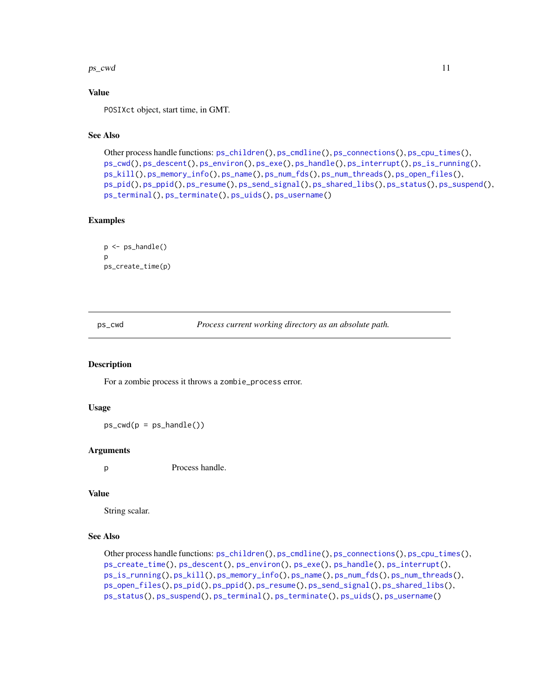#### <span id="page-10-0"></span> $ps\_cwd$  11

### Value

POSIXct object, start time, in GMT.

# See Also

```
Other process handle functions: ps_children(), ps_cmdline(), ps_connections(), ps_cpu_times(),
ps_cwd(), ps_descent(), ps_environ(), ps_exe(), ps_handle(), ps_interrupt(), ps_is_running(),
ps_kill(), ps_memory_info(), ps_name(), ps_num_fds(), ps_num_threads(), ps_open_files(),
ps_pid(), ps_ppid(), ps_resume(), ps_send_signal(), ps_shared_libs(), ps_status(), ps_suspend(),
ps_terminal(), ps_terminate(), ps_uids(), ps_username()
```
# Examples

```
p <- ps_handle()
\mathbf{D}ps_create_time(p)
```
<span id="page-10-1"></span>ps\_cwd *Process current working directory as an absolute path.*

#### Description

For a zombie process it throws a zombie\_process error.

### Usage

 $ps_{cwd}(p = ps_{handle}))$ 

### Arguments

p Process handle.

### Value

String scalar.

# See Also

```
Other process handle functions: ps_children(), ps_cmdline(), ps_connections(), ps_cpu_times(),
ps_create_time(), ps_descent(), ps_environ(), ps_exe(), ps_handle(), ps_interrupt(),
ps_is_running(), ps_kill(), ps_memory_info(), ps_name(), ps_num_fds(), ps_num_threads(),
ps_open_files(), ps_pid(), ps_ppid(), ps_resume(), ps_send_signal(), ps_shared_libs(),
ps_status(), ps_suspend(), ps_terminal(), ps_terminate(), ps_uids(), ps_username()
```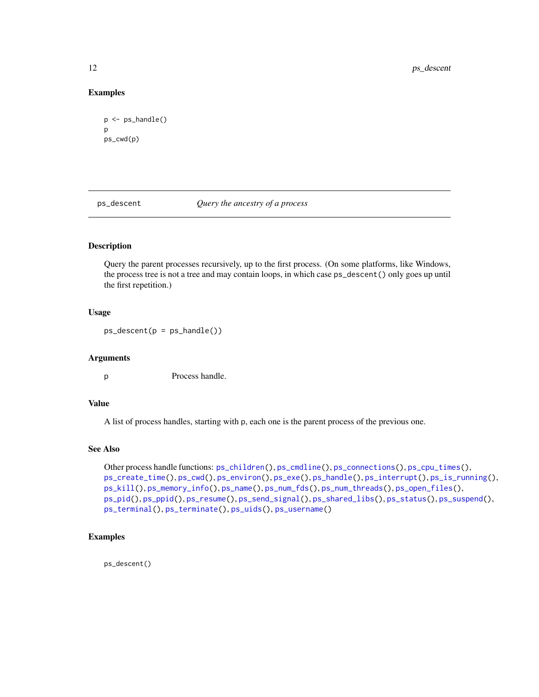### Examples

```
p <- ps_handle()
p
ps_cwd(p)
```
<span id="page-11-1"></span>ps\_descent *Query the ancestry of a process*

# Description

Query the parent processes recursively, up to the first process. (On some platforms, like Windows, the process tree is not a tree and may contain loops, in which case ps\_descent() only goes up until the first repetition.)

### Usage

 $ps\_descent(p = ps\_handle())$ 

# Arguments

p Process handle.

### Value

A list of process handles, starting with p, each one is the parent process of the previous one.

# See Also

```
Other process handle functions: ps_children(), ps_cmdline(), ps_connections(), ps_cpu_times(),
ps_create_time(), ps_cwd(), ps_environ(), ps_exe(), ps_handle(), ps_interrupt(), ps_is_running(),
ps_kill(), ps_memory_info(), ps_name(), ps_num_fds(), ps_num_threads(), ps_open_files(),
ps_pid(), ps_ppid(), ps_resume(), ps_send_signal(), ps_shared_libs(), ps_status(), ps_suspend(),
ps_terminal(), ps_terminate(), ps_uids(), ps_username()
```
# Examples

ps\_descent()

<span id="page-11-0"></span>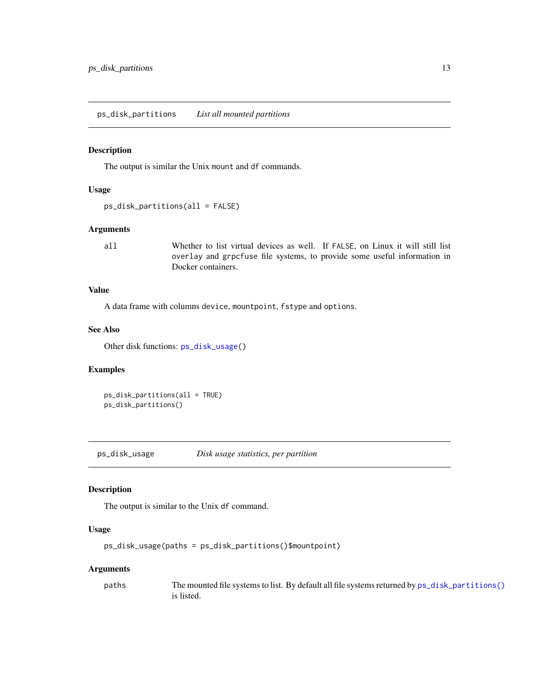<span id="page-12-2"></span><span id="page-12-0"></span>ps\_disk\_partitions *List all mounted partitions*

# Description

The output is similar the Unix mount and df commands.

#### Usage

```
ps_disk_partitions(all = FALSE)
```
### Arguments

all Whether to list virtual devices as well. If FALSE, on Linux it will still list overlay and grpcfuse file systems, to provide some useful information in Docker containers.

# Value

A data frame with columns device, mountpoint, fstype and options.

### See Also

Other disk functions: [ps\\_disk\\_usage\(](#page-12-1))

### Examples

ps\_disk\_partitions(all = TRUE) ps\_disk\_partitions()

<span id="page-12-1"></span>ps\_disk\_usage *Disk usage statistics, per partition*

### Description

The output is similar to the Unix df command.

#### Usage

```
ps_disk_usage(paths = ps_disk_partitions()$mountpoint)
```
### Arguments

paths The mounted file systems to list. By default all file systems returned by  $ps\_disk\_partitions()$ is listed.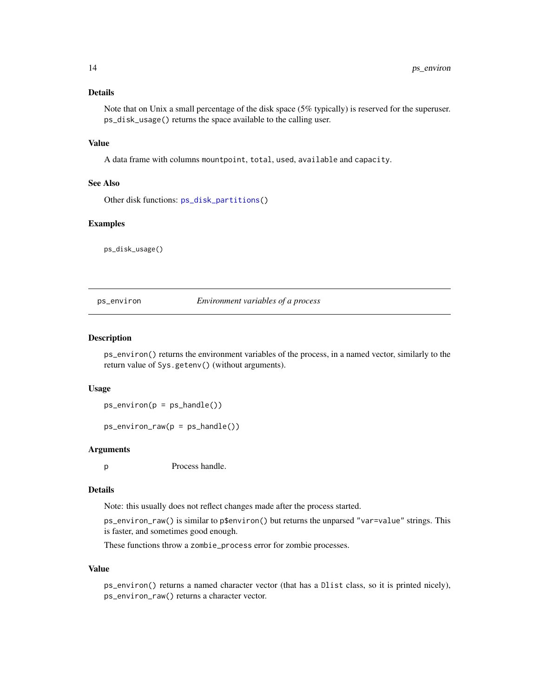# <span id="page-13-0"></span>Details

Note that on Unix a small percentage of the disk space (5% typically) is reserved for the superuser. ps\_disk\_usage() returns the space available to the calling user.

# Value

A data frame with columns mountpoint, total, used, available and capacity.

### See Also

Other disk functions: [ps\\_disk\\_partitions\(](#page-12-2))

### Examples

ps\_disk\_usage()

<span id="page-13-1"></span>ps\_environ *Environment variables of a process*

### Description

ps\_environ() returns the environment variables of the process, in a named vector, similarly to the return value of Sys.getenv() (without arguments).

#### Usage

```
ps\_environment(p = ps\_handle())
```

```
ps\_environment\_raw(p = ps\_handle())
```
### Arguments

p Process handle.

### Details

Note: this usually does not reflect changes made after the process started.

ps\_environ\_raw() is similar to p\$environ() but returns the unparsed "var=value" strings. This is faster, and sometimes good enough.

These functions throw a zombie\_process error for zombie processes.

#### Value

ps\_environ() returns a named character vector (that has a Dlist class, so it is printed nicely), ps\_environ\_raw() returns a character vector.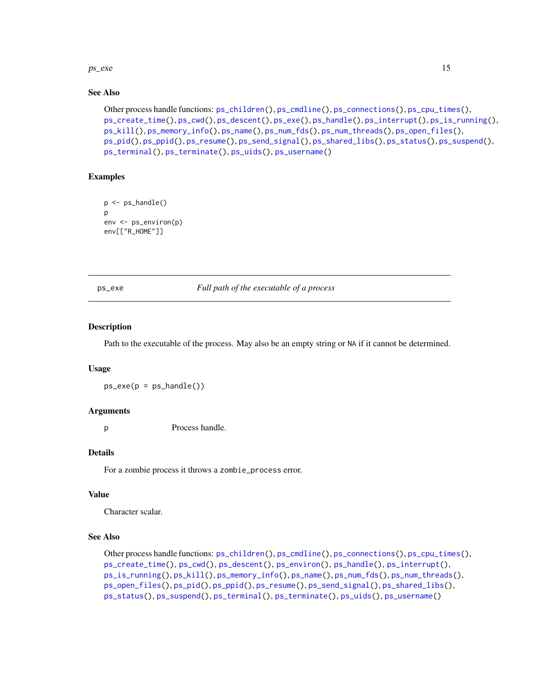#### <span id="page-14-0"></span> $ps\_exe$  15

### See Also

```
Other process handle functions: ps_children(), ps_cmdline(), ps_connections(), ps_cpu_times(),
ps_create_time(), ps_cwd(), ps_descent(), ps_exe(), ps_handle(), ps_interrupt(), ps_is_running(),
ps_kill(), ps_memory_info(), ps_name(), ps_num_fds(), ps_num_threads(), ps_open_files(),
ps_pid(), ps_ppid(), ps_resume(), ps_send_signal(), ps_shared_libs(), ps_status(), ps_suspend(),
ps_terminal(), ps_terminate(), ps_uids(), ps_username()
```
# Examples

```
p <- ps_handle()
p
env <- ps_environ(p)
env[["R_HOME"]]
```
<span id="page-14-1"></span>ps\_exe *Full path of the executable of a process*

### Description

Path to the executable of the process. May also be an empty string or NA if it cannot be determined.

#### Usage

 $ps\_exe(p = ps\_handle())$ 

#### Arguments

p Process handle.

#### Details

For a zombie process it throws a zombie\_process error.

#### Value

Character scalar.

# See Also

Other process handle functions: [ps\\_children\(](#page-5-1)), [ps\\_cmdline\(](#page-6-1)), [ps\\_connections\(](#page-7-1)), [ps\\_cpu\\_times\(](#page-8-1)), [ps\\_create\\_time\(](#page-9-1)), [ps\\_cwd\(](#page-10-1)), [ps\\_descent\(](#page-11-1)), [ps\\_environ\(](#page-13-1)), [ps\\_handle\(](#page-16-1)), [ps\\_interrupt\(](#page-17-1)), [ps\\_is\\_running\(](#page-18-1)), [ps\\_kill\(](#page-19-1)), [ps\\_memory\\_info\(](#page-22-1)), [ps\\_name\(](#page-23-1)), [ps\\_num\\_fds\(](#page-24-1)), [ps\\_num\\_threads\(](#page-25-1)), [ps\\_open\\_files\(](#page-26-1)), [ps\\_pid\(](#page-27-1)), [ps\\_ppid\(](#page-28-1)), [ps\\_resume\(](#page-29-1)), [ps\\_send\\_signal\(](#page-30-1)), [ps\\_shared\\_libs\(](#page-31-1)), [ps\\_status\(](#page-33-1)), [ps\\_suspend\(](#page-34-1)), [ps\\_terminal\(](#page-38-1)), [ps\\_terminate\(](#page-39-1)), [ps\\_uids\(](#page-40-1)), [ps\\_username\(](#page-41-1))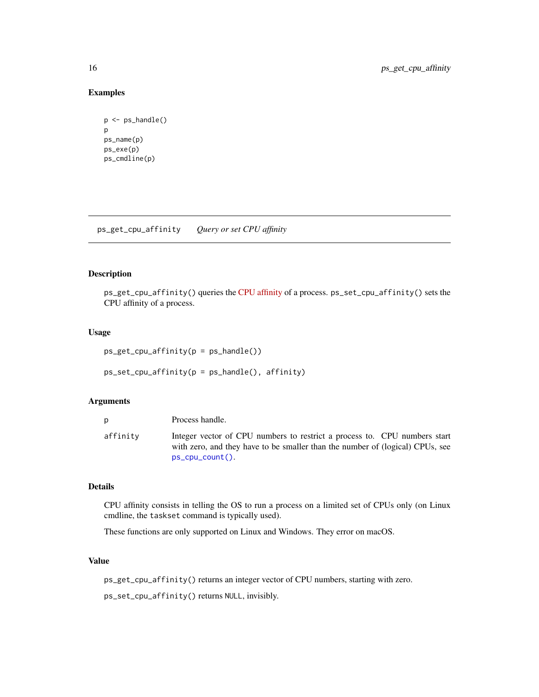# Examples

```
p <- ps_handle()
p
ps_name(p)
ps_exe(p)
ps_cmdline(p)
```
ps\_get\_cpu\_affinity *Query or set CPU affinity*

# Description

ps\_get\_cpu\_affinity() queries the [CPU affinity](https://www.linuxjournal.com/article/6799?page=0,0) of a process. ps\_set\_cpu\_affinity() sets the CPU affinity of a process.

### Usage

```
ps_get_cpu_affinity(p = ps_handle())
ps_set_cpu_affinity(p = ps_handle(), affinity)
```
# Arguments

| D        | Process handle.                                                                                                                                                                  |
|----------|----------------------------------------------------------------------------------------------------------------------------------------------------------------------------------|
| affinity | Integer vector of CPU numbers to restrict a process to. CPU numbers start<br>with zero, and they have to be smaller than the number of (logical) CPUs, see<br>$ps_cpu_count()$ . |

# Details

CPU affinity consists in telling the OS to run a process on a limited set of CPUs only (on Linux cmdline, the taskset command is typically used).

These functions are only supported on Linux and Windows. They error on macOS.

### Value

ps\_get\_cpu\_affinity() returns an integer vector of CPU numbers, starting with zero.

ps\_set\_cpu\_affinity() returns NULL, invisibly.

<span id="page-15-0"></span>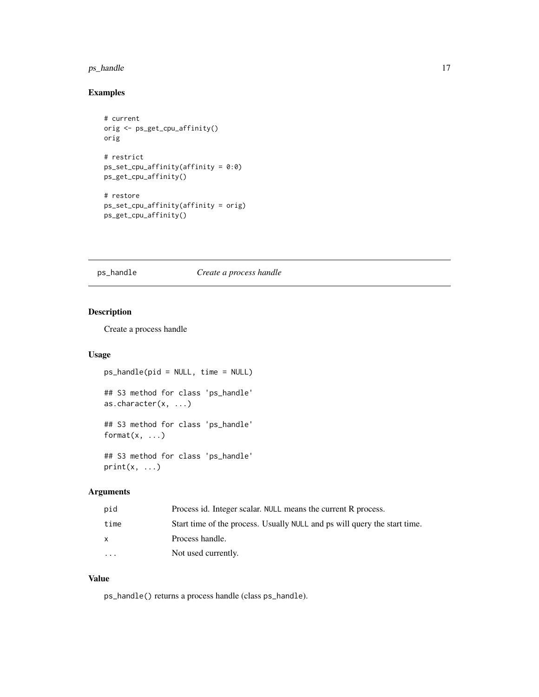#### <span id="page-16-0"></span>ps\_handle 17

# Examples

```
# current
orig <- ps_get_cpu_affinity()
orig
# restrict
ps_set_cpu_affinity(affinity = 0:0)ps_get_cpu_affinity()
# restore
ps_set_cpu_affinity(affinity = orig)
ps_get_cpu_affinity()
```
# <span id="page-16-1"></span>ps\_handle *Create a process handle*

# Description

Create a process handle

## Usage

```
ps_handle(pid = NULL, time = NULL)
## S3 method for class 'ps_handle'
as.character(x, ...)
## S3 method for class 'ps_handle'
format(x, \ldots)
```
## S3 method for class 'ps\_handle'  $print(x, \ldots)$ 

# Arguments

| pid       | Process id. Integer scalar. NULL means the current R process.             |
|-----------|---------------------------------------------------------------------------|
| time      | Start time of the process. Usually NULL and ps will query the start time. |
|           | Process handle.                                                           |
| $\ddotsc$ | Not used currently.                                                       |
|           |                                                                           |

### Value

ps\_handle() returns a process handle (class ps\_handle).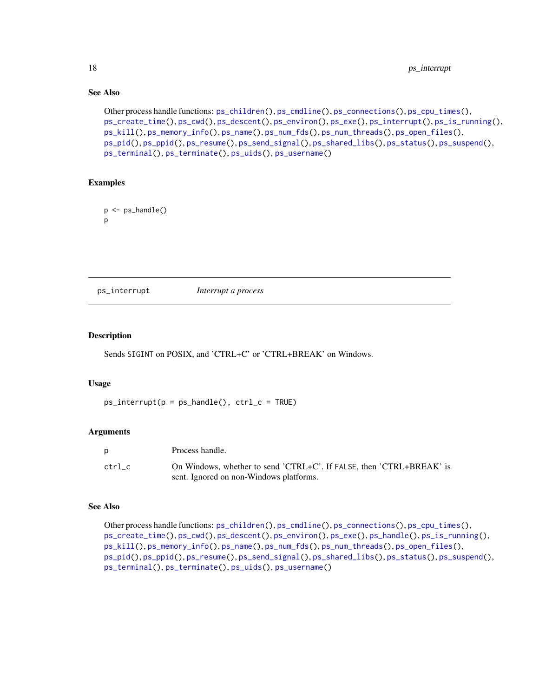# See Also

```
Other process handle functions: ps_children(), ps_cmdline(), ps_connections(), ps_cpu_times(),
ps_create_time(), ps_cwd(), ps_descent(), ps_environ(), ps_exe(), ps_interrupt(), ps_is_running(),
ps_kill(), ps_memory_info(), ps_name(), ps_num_fds(), ps_num_threads(), ps_open_files(),
ps_pid(), ps_ppid(), ps_resume(), ps_send_signal(), ps_shared_libs(), ps_status(), ps_suspend(),
ps_terminal(), ps_terminate(), ps_uids(), ps_username()
```
### Examples

```
p \leftarrow ps\_handle()p
```
<span id="page-17-1"></span>ps\_interrupt *Interrupt a process*

### Description

Sends SIGINT on POSIX, and 'CTRL+C' or 'CTRL+BREAK' on Windows.

#### Usage

 $ps\_interrupt(p = ps\_handle(), $ctr\_c = TRUE)$$ 

#### **Arguments**

|        | Process handle.                                                      |
|--------|----------------------------------------------------------------------|
| ctrl c | On Windows, whether to send 'CTRL+C'. If FALSE, then 'CTRL+BREAK' is |
|        | sent. Ignored on non-Windows platforms.                              |

### See Also

Other process handle functions: [ps\\_children\(](#page-5-1)), [ps\\_cmdline\(](#page-6-1)), [ps\\_connections\(](#page-7-1)), [ps\\_cpu\\_times\(](#page-8-1)), [ps\\_create\\_time\(](#page-9-1)), [ps\\_cwd\(](#page-10-1)), [ps\\_descent\(](#page-11-1)), [ps\\_environ\(](#page-13-1)), [ps\\_exe\(](#page-14-1)), [ps\\_handle\(](#page-16-1)), [ps\\_is\\_running\(](#page-18-1)), [ps\\_kill\(](#page-19-1)), [ps\\_memory\\_info\(](#page-22-1)), [ps\\_name\(](#page-23-1)), [ps\\_num\\_fds\(](#page-24-1)), [ps\\_num\\_threads\(](#page-25-1)), [ps\\_open\\_files\(](#page-26-1)), [ps\\_pid\(](#page-27-1)), [ps\\_ppid\(](#page-28-1)), [ps\\_resume\(](#page-29-1)), [ps\\_send\\_signal\(](#page-30-1)), [ps\\_shared\\_libs\(](#page-31-1)), [ps\\_status\(](#page-33-1)), [ps\\_suspend\(](#page-34-1)), [ps\\_terminal\(](#page-38-1)), [ps\\_terminate\(](#page-39-1)), [ps\\_uids\(](#page-40-1)), [ps\\_username\(](#page-41-1))

<span id="page-17-0"></span>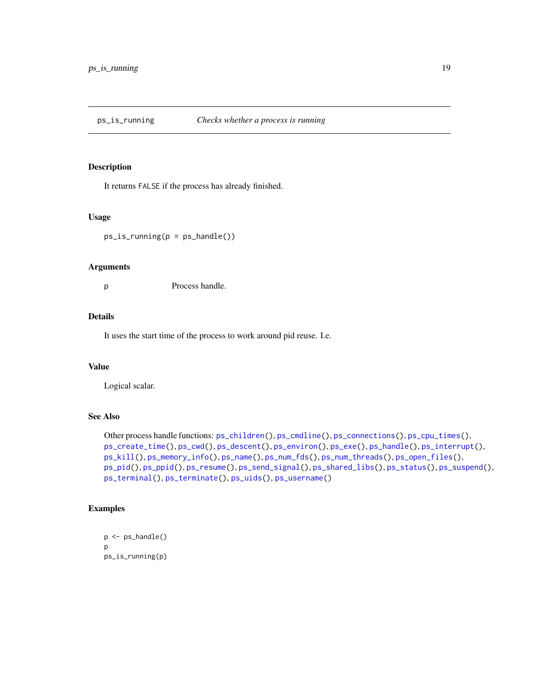<span id="page-18-1"></span><span id="page-18-0"></span>

It returns FALSE if the process has already finished.

### Usage

 $ps_is_r$ unning( $p = ps_h$ andle())

#### Arguments

p Process handle.

### Details

It uses the start time of the process to work around pid reuse. I.e.

#### Value

Logical scalar.

# See Also

```
Other process handle functions: ps_children(), ps_cmdline(), ps_connections(), ps_cpu_times(),
ps_create_time(), ps_cwd(), ps_descent(), ps_environ(), ps_exe(), ps_handle(), ps_interrupt(),
ps_kill(), ps_memory_info(), ps_name(), ps_num_fds(), ps_num_threads(), ps_open_files(),
ps_pid(), ps_ppid(), ps_resume(), ps_send_signal(), ps_shared_libs(), ps_status(), ps_suspend(),
ps_terminal(), ps_terminate(), ps_uids(), ps_username()
```
# Examples

```
p <- ps_handle()
p
ps_is_running(p)
```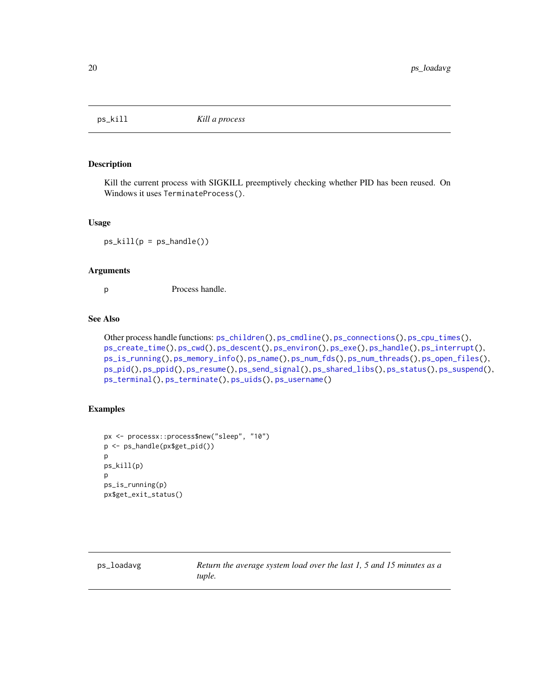<span id="page-19-1"></span><span id="page-19-0"></span>

Kill the current process with SIGKILL preemptively checking whether PID has been reused. On Windows it uses TerminateProcess().

#### Usage

 $ps\_kill(p = ps\_handle())$ 

### Arguments

p Process handle.

# See Also

```
Other process handle functions: ps_children(), ps_cmdline(), ps_connections(), ps_cpu_times(),
ps_create_time(), ps_cwd(), ps_descent(), ps_environ(), ps_exe(), ps_handle(), ps_interrupt(),
ps_is_running(), ps_memory_info(), ps_name(), ps_num_fds(), ps_num_threads(), ps_open_files(),
ps_pid(), ps_ppid(), ps_resume(), ps_send_signal(), ps_shared_libs(), ps_status(), ps_suspend(),
ps_terminal(), ps_terminate(), ps_uids(), ps_username()
```
### Examples

```
px <- processx::process$new("sleep", "10")
p <- ps_handle(px$get_pid())
p
ps_kill(p)
p
ps_is_running(p)
px$get_exit_status()
```
ps\_loadavg *Return the average system load over the last 1, 5 and 15 minutes as a tuple.*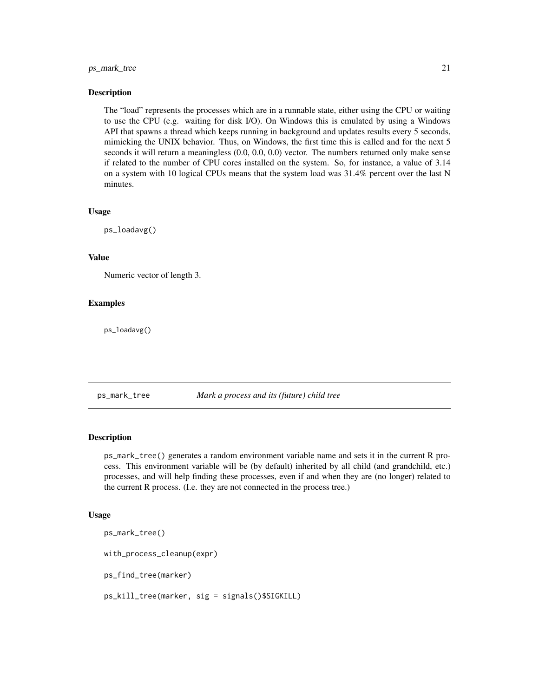### <span id="page-20-0"></span>ps\_mark\_tree 21

#### Description

The "load" represents the processes which are in a runnable state, either using the CPU or waiting to use the CPU (e.g. waiting for disk I/O). On Windows this is emulated by using a Windows API that spawns a thread which keeps running in background and updates results every 5 seconds, mimicking the UNIX behavior. Thus, on Windows, the first time this is called and for the next 5 seconds it will return a meaningless  $(0.0, 0.0, 0.0)$  vector. The numbers returned only make sense if related to the number of CPU cores installed on the system. So, for instance, a value of 3.14 on a system with 10 logical CPUs means that the system load was 31.4% percent over the last N minutes.

### Usage

ps\_loadavg()

### Value

Numeric vector of length 3.

### Examples

ps\_loadavg()

#### ps\_mark\_tree *Mark a process and its (future) child tree*

### **Description**

ps\_mark\_tree() generates a random environment variable name and sets it in the current R process. This environment variable will be (by default) inherited by all child (and grandchild, etc.) processes, and will help finding these processes, even if and when they are (no longer) related to the current R process. (I.e. they are not connected in the process tree.)

#### Usage

```
ps_mark_tree()
with_process_cleanup(expr)
ps_find_tree(marker)
ps_kill_tree(marker, sig = signals()$SIGKILL)
```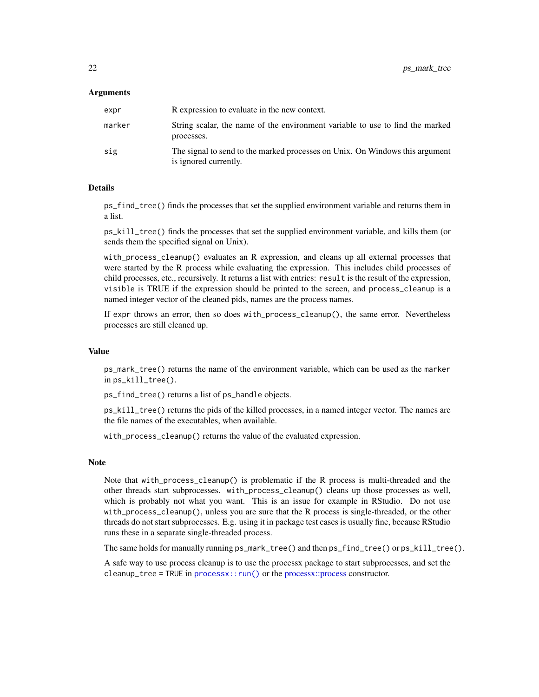### <span id="page-21-0"></span>Arguments

| expr   | R expression to evaluate in the new context.                                                          |
|--------|-------------------------------------------------------------------------------------------------------|
| marker | String scalar, the name of the environment variable to use to find the marked<br>processes.           |
| sig    | The signal to send to the marked processes on Unix. On Windows this argument<br>is ignored currently. |

#### Details

ps\_find\_tree() finds the processes that set the supplied environment variable and returns them in a list.

ps\_kill\_tree() finds the processes that set the supplied environment variable, and kills them (or sends them the specified signal on Unix).

with\_process\_cleanup() evaluates an R expression, and cleans up all external processes that were started by the R process while evaluating the expression. This includes child processes of child processes, etc., recursively. It returns a list with entries: result is the result of the expression, visible is TRUE if the expression should be printed to the screen, and process\_cleanup is a named integer vector of the cleaned pids, names are the process names.

If expr throws an error, then so does with\_process\_cleanup(), the same error. Nevertheless processes are still cleaned up.

### Value

ps\_mark\_tree() returns the name of the environment variable, which can be used as the marker in ps\_kill\_tree().

ps\_find\_tree() returns a list of ps\_handle objects.

ps\_kill\_tree() returns the pids of the killed processes, in a named integer vector. The names are the file names of the executables, when available.

with\_process\_cleanup() returns the value of the evaluated expression.

#### Note

Note that with\_process\_cleanup() is problematic if the R process is multi-threaded and the other threads start subprocesses. with\_process\_cleanup() cleans up those processes as well, which is probably not what you want. This is an issue for example in RStudio. Do not use with\_process\_cleanup(), unless you are sure that the R process is single-threaded, or the other threads do not start subprocesses. E.g. using it in package test cases is usually fine, because RStudio runs these in a separate single-threaded process.

The same holds for manually running ps\_mark\_tree() and then ps\_find\_tree() or ps\_kill\_tree().

A safe way to use process cleanup is to use the processx package to start subprocesses, and set the cleanup\_tree = TRUE in process $x$ ::run() or the process $x$ ::process constructor.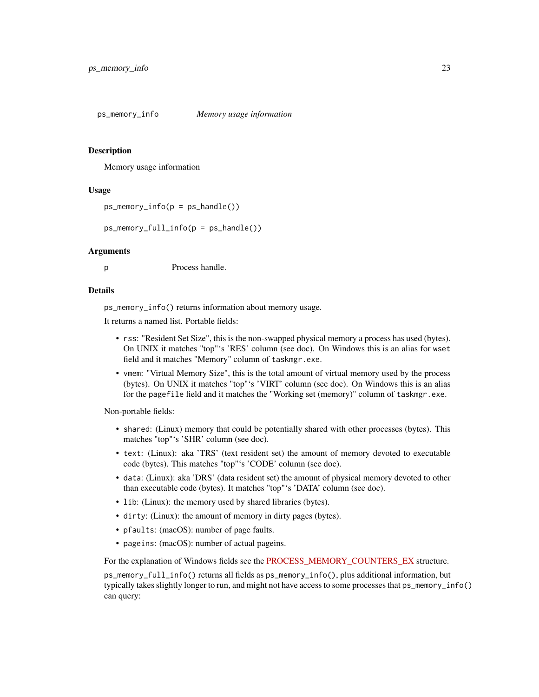<span id="page-22-1"></span><span id="page-22-0"></span>ps\_memory\_info *Memory usage information*

### Description

Memory usage information

### Usage

```
ps_memory_info(p = ps_handle())
```
ps\_memory\_full\_info(p = ps\_handle())

### Arguments

p Process handle.

### Details

ps\_memory\_info() returns information about memory usage.

It returns a named list. Portable fields:

- rss: "Resident Set Size", this is the non-swapped physical memory a process has used (bytes). On UNIX it matches "top"'s 'RES' column (see doc). On Windows this is an alias for wset field and it matches "Memory" column of taskmgr.exe.
- vmem: "Virtual Memory Size", this is the total amount of virtual memory used by the process (bytes). On UNIX it matches "top"'s 'VIRT' column (see doc). On Windows this is an alias for the pagefile field and it matches the "Working set (memory)" column of taskmgr.exe.

Non-portable fields:

- shared: (Linux) memory that could be potentially shared with other processes (bytes). This matches "top"'s 'SHR' column (see doc).
- text: (Linux): aka 'TRS' (text resident set) the amount of memory devoted to executable code (bytes). This matches "top"'s 'CODE' column (see doc).
- data: (Linux): aka 'DRS' (data resident set) the amount of physical memory devoted to other than executable code (bytes). It matches "top"'s 'DATA' column (see doc).
- lib: (Linux): the memory used by shared libraries (bytes).
- dirty: (Linux): the amount of memory in dirty pages (bytes).
- pfaults: (macOS): number of page faults.
- pageins: (macOS): number of actual pageins.

For the explanation of Windows fields see the [PROCESS\\_MEMORY\\_COUNTERS\\_EX](https://docs.microsoft.com/en-us/windows/win32/api/psapi/ns-psapi-process_memory_counters_ex) structure.

ps\_memory\_full\_info() returns all fields as ps\_memory\_info(), plus additional information, but typically takes slightly longer to run, and might not have access to some processes that ps\_memory\_info() can query: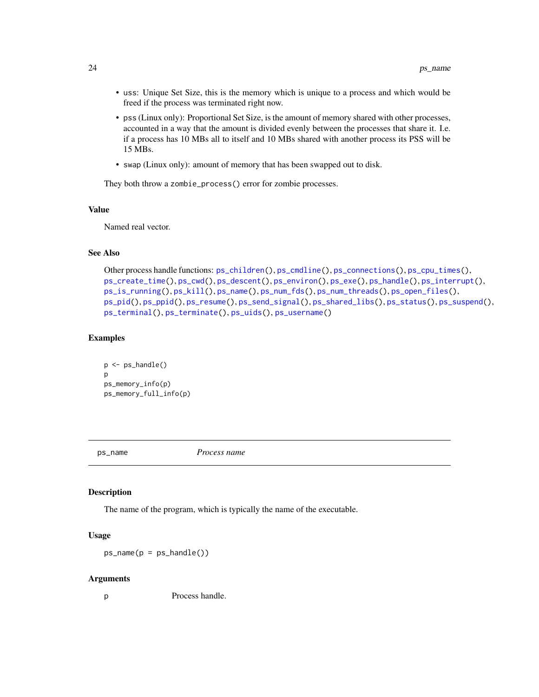- <span id="page-23-0"></span>• uss: Unique Set Size, this is the memory which is unique to a process and which would be freed if the process was terminated right now.
- pss (Linux only): Proportional Set Size, is the amount of memory shared with other processes, accounted in a way that the amount is divided evenly between the processes that share it. I.e. if a process has 10 MBs all to itself and 10 MBs shared with another process its PSS will be 15 MBs.
- swap (Linux only): amount of memory that has been swapped out to disk.

They both throw a zombie\_process() error for zombie processes.

### Value

Named real vector.

### See Also

```
Other process handle functions: ps_children(), ps_cmdline(), ps_connections(), ps_cpu_times(),
ps_create_time(), ps_cwd(), ps_descent(), ps_environ(), ps_exe(), ps_handle(), ps_interrupt(),
ps_is_running(), ps_kill(), ps_name(), ps_num_fds(), ps_num_threads(), ps_open_files(),
ps_pid(), ps_ppid(), ps_resume(), ps_send_signal(), ps_shared_libs(), ps_status(), ps_suspend(),
ps_terminal(), ps_terminate(), ps_uids(), ps_username()
```
### Examples

```
p \leftarrow ps\_handle()p
ps_memory_info(p)
ps_memory_full_info(p)
```
<span id="page-23-1"></span>

ps\_name *Process name*

#### Description

The name of the program, which is typically the name of the executable.

### Usage

 $ps_name(p = ps_handle())$ 

#### Arguments

p Process handle.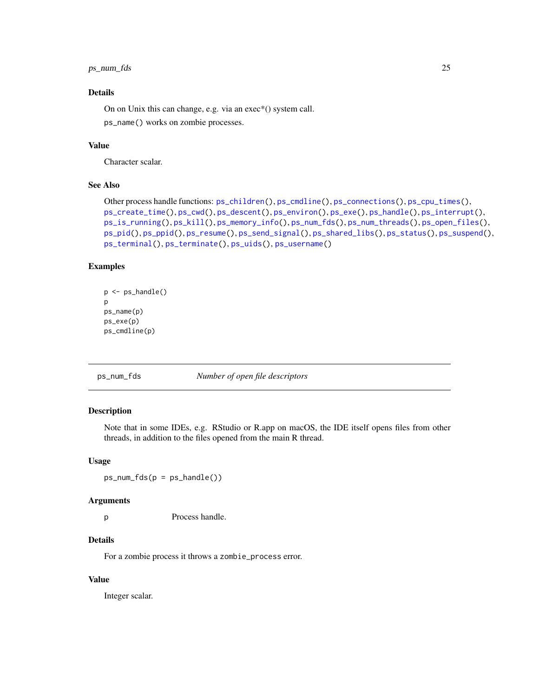# <span id="page-24-0"></span>ps\_num\_fds 25

# Details

On on Unix this can change, e.g. via an exec\*() system call.

ps\_name() works on zombie processes.

# Value

Character scalar.

# See Also

```
Other process handle functions: ps_children(), ps_cmdline(), ps_connections(), ps_cpu_times(),
ps_create_time(), ps_cwd(), ps_descent(), ps_environ(), ps_exe(), ps_handle(), ps_interrupt(),
ps_is_running(), ps_kill(), ps_memory_info(), ps_num_fds(), ps_num_threads(), ps_open_files(),
ps_pid(), ps_ppid(), ps_resume(), ps_send_signal(), ps_shared_libs(), ps_status(), ps_suspend(),
ps_terminal(), ps_terminate(), ps_uids(), ps_username()
```
# Examples

```
p \leftarrow ps\_handle()p
ps_name(p)
ps_exe(p)
ps_cmdline(p)
```
<span id="page-24-1"></span>ps\_num\_fds *Number of open file descriptors*

#### Description

Note that in some IDEs, e.g. RStudio or R.app on macOS, the IDE itself opens files from other threads, in addition to the files opened from the main R thread.

#### Usage

 $ps\_num_fds(p = ps\_handle())$ 

#### Arguments

p Process handle.

## **Details**

For a zombie process it throws a zombie\_process error.

# Value

Integer scalar.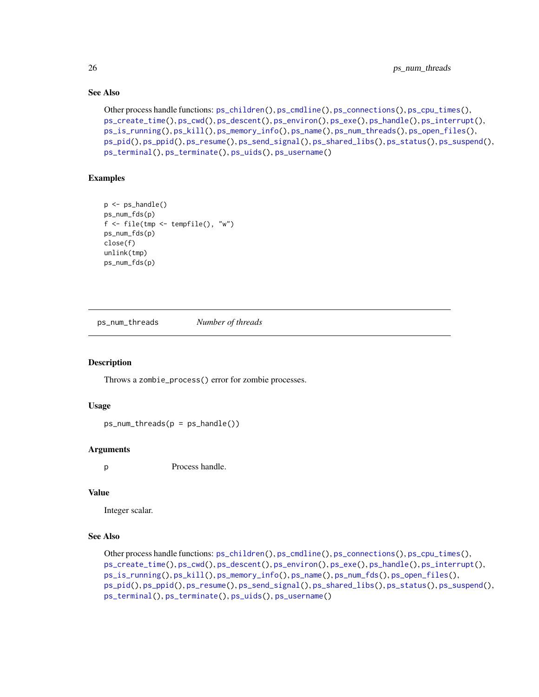# See Also

```
Other process handle functions: ps_children(), ps_cmdline(), ps_connections(), ps_cpu_times(),
ps_create_time(), ps_cwd(), ps_descent(), ps_environ(), ps_exe(), ps_handle(), ps_interrupt(),
ps_is_running(), ps_kill(), ps_memory_info(), ps_name(), ps_num_threads(), ps_open_files(),
ps_pid(), ps_ppid(), ps_resume(), ps_send_signal(), ps_shared_libs(), ps_status(), ps_suspend(),
ps_terminal(), ps_terminate(), ps_uids(), ps_username()
```
# Examples

```
p \leftarrow ps\_handle()ps_num_fds(p)
f <- file(tmp <- tempfile(), "w")
ps_num_fds(p)
close(f)
unlink(tmp)
ps_num_fds(p)
```
<span id="page-25-1"></span>ps\_num\_threads *Number of threads*

# Description

Throws a zombie\_process() error for zombie processes.

### Usage

```
ps\_num\_threads(p = ps\_handle())
```
# Arguments

p Process handle.

### Value

Integer scalar.

# See Also

```
Other process handle functions: ps_children(), ps_cmdline(), ps_connections(), ps_cpu_times(),
ps_create_time(), ps_cwd(), ps_descent(), ps_environ(), ps_exe(), ps_handle(), ps_interrupt(),
ps_is_running(), ps_kill(), ps_memory_info(), ps_name(), ps_num_fds(), ps_open_files(),
ps_pid(), ps_ppid(), ps_resume(), ps_send_signal(), ps_shared_libs(), ps_status(), ps_suspend(),
ps_terminal(), ps_terminate(), ps_uids(), ps_username()
```
<span id="page-25-0"></span>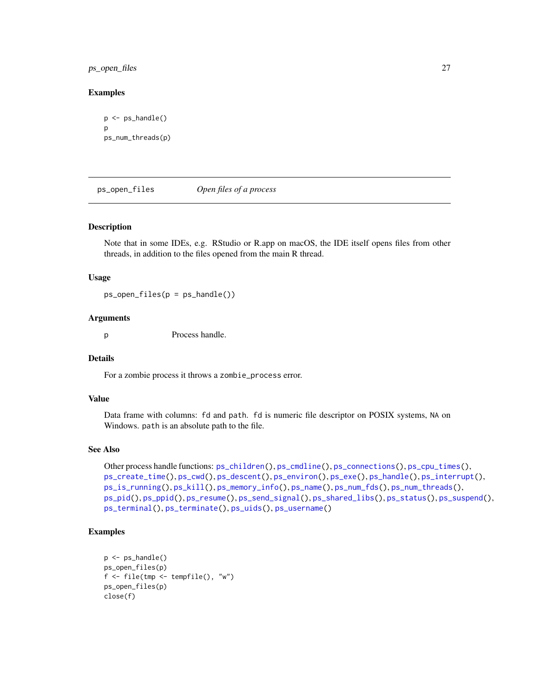# <span id="page-26-0"></span>ps\_open\_files 27

### Examples

```
p \leftarrow ps\_handle()p
ps_num_threads(p)
```
<span id="page-26-1"></span>ps\_open\_files *Open files of a process*

### Description

Note that in some IDEs, e.g. RStudio or R.app on macOS, the IDE itself opens files from other threads, in addition to the files opened from the main R thread.

#### Usage

 $ps\_open\_files(p = ps\_handle())$ 

#### Arguments

p Process handle.

### Details

For a zombie process it throws a zombie\_process error.

### Value

Data frame with columns: fd and path. fd is numeric file descriptor on POSIX systems, NA on Windows. path is an absolute path to the file.

# See Also

```
Other process handle functions: ps_children(), ps_cmdline(), ps_connections(), ps_cpu_times(),
ps_create_time(), ps_cwd(), ps_descent(), ps_environ(), ps_exe(), ps_handle(), ps_interrupt(),
ps_is_running(), ps_kill(), ps_memory_info(), ps_name(), ps_num_fds(), ps_num_threads(),
ps_pid(), ps_ppid(), ps_resume(), ps_send_signal(), ps_shared_libs(), ps_status(), ps_suspend(),
ps_terminal(), ps_terminate(), ps_uids(), ps_username()
```
### Examples

```
p \leftarrow ps\_handle()ps_open_files(p)
f <- file(tmp <- tempfile(), "w")
ps_open_files(p)
close(f)
```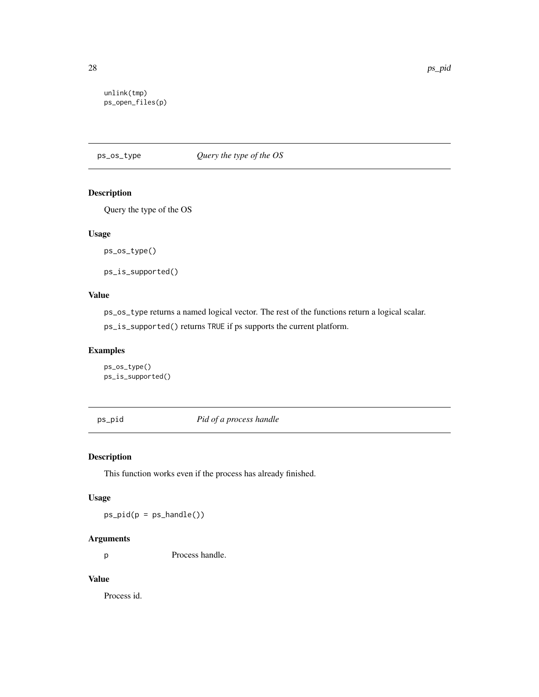```
unlink(tmp)
ps_open_files(p)
```
ps\_os\_type *Query the type of the OS*

# Description

Query the type of the OS

### Usage

ps\_os\_type()

ps\_is\_supported()

# Value

ps\_os\_type returns a named logical vector. The rest of the functions return a logical scalar. ps\_is\_supported() returns TRUE if ps supports the current platform.

# Examples

ps\_os\_type() ps\_is\_supported()

<span id="page-27-1"></span>ps\_pid *Pid of a process handle*

# Description

This function works even if the process has already finished.

# Usage

 $ps\_pid(p = ps\_handle())$ 

# Arguments

p Process handle.

# Value

Process id.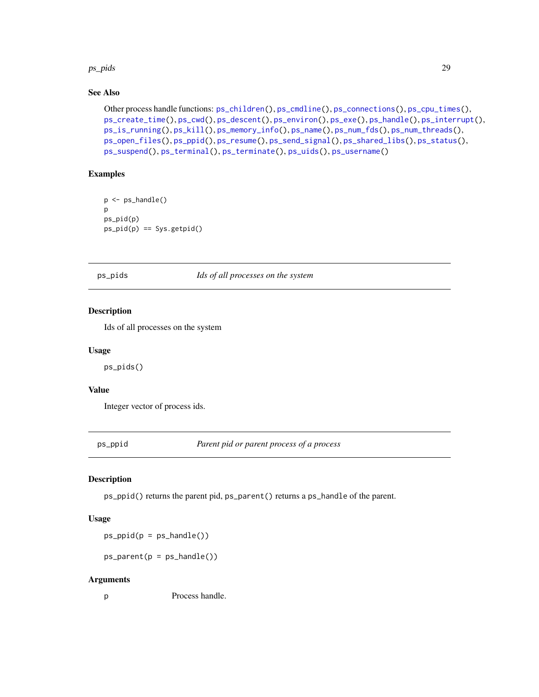#### <span id="page-28-0"></span>ps\_pids 29

# See Also

```
Other process handle functions: ps_children(), ps_cmdline(), ps_connections(), ps_cpu_times(),
ps_create_time(), ps_cwd(), ps_descent(), ps_environ(), ps_exe(), ps_handle(), ps_interrupt(),
ps_is_running(), ps_kill(), ps_memory_info(), ps_name(), ps_num_fds(), ps_num_threads(),
ps_open_files(), ps_ppid(), ps_resume(), ps_send_signal(), ps_shared_libs(), ps_status(),
ps_suspend(), ps_terminal(), ps_terminate(), ps_uids(), ps_username()
```
# Examples

```
p <- ps_handle()
p
ps_pid(p)
ps\_pid(p) == Sys.getpid()
```
ps\_pids *Ids of all processes on the system*

# Description

Ids of all processes on the system

#### Usage

ps\_pids()

### Value

Integer vector of process ids.

<span id="page-28-1"></span>ps\_ppid *Parent pid or parent process of a process*

# Description

ps\_ppid() returns the parent pid, ps\_parent() returns a ps\_handle of the parent.

# Usage

 $ps\_ppid(p = ps\_handle())$ 

 $ps\_parent(p = ps\_handle())$ 

#### Arguments

p Process handle.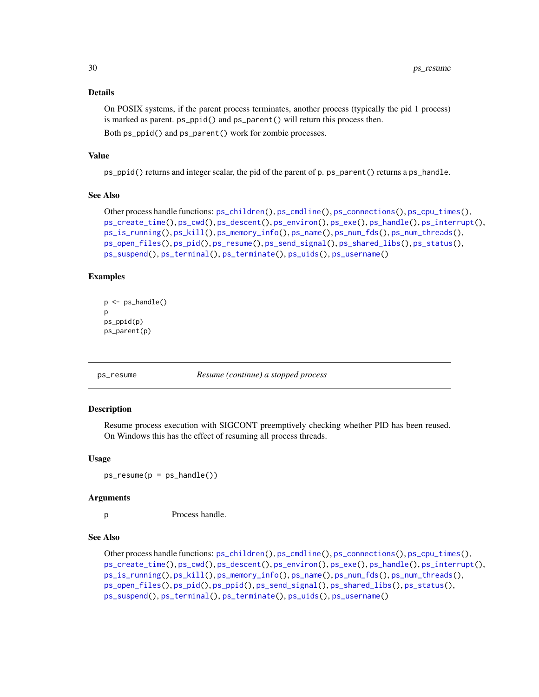# Details

On POSIX systems, if the parent process terminates, another process (typically the pid 1 process) is marked as parent. ps\_ppid() and ps\_parent() will return this process then.

Both ps\_ppid() and ps\_parent() work for zombie processes.

## Value

ps\_ppid() returns and integer scalar, the pid of the parent of p. ps\_parent() returns a ps\_handle.

### See Also

```
Other process handle functions: ps_children(), ps_cmdline(), ps_connections(), ps_cpu_times(),
ps_create_time(), ps_cwd(), ps_descent(), ps_environ(), ps_exe(), ps_handle(), ps_interrupt(),
ps_is_running(), ps_kill(), ps_memory_info(), ps_name(), ps_num_fds(), ps_num_threads(),
ps_open_files(), ps_pid(), ps_resume(), ps_send_signal(), ps_shared_libs(), ps_status(),
ps_suspend(), ps_terminal(), ps_terminate(), ps_uids(), ps_username()
```
### Examples

```
p \leftarrow ps\_handle()\mathsf{D}ps_ppid(p)
ps_parent(p)
```
<span id="page-29-1"></span>

ps\_resume *Resume (continue) a stopped process*

### Description

Resume process execution with SIGCONT preemptively checking whether PID has been reused. On Windows this has the effect of resuming all process threads.

### Usage

 $ps\_resume(p = ps\_handle())$ 

#### **Arguments**

p Process handle.

# See Also

Other process handle functions: [ps\\_children\(](#page-5-1)), [ps\\_cmdline\(](#page-6-1)), [ps\\_connections\(](#page-7-1)), [ps\\_cpu\\_times\(](#page-8-1)), [ps\\_create\\_time\(](#page-9-1)), [ps\\_cwd\(](#page-10-1)), [ps\\_descent\(](#page-11-1)), [ps\\_environ\(](#page-13-1)), [ps\\_exe\(](#page-14-1)), [ps\\_handle\(](#page-16-1)), [ps\\_interrupt\(](#page-17-1)), [ps\\_is\\_running\(](#page-18-1)), [ps\\_kill\(](#page-19-1)), [ps\\_memory\\_info\(](#page-22-1)), [ps\\_name\(](#page-23-1)), [ps\\_num\\_fds\(](#page-24-1)), [ps\\_num\\_threads\(](#page-25-1)), [ps\\_open\\_files\(](#page-26-1)), [ps\\_pid\(](#page-27-1)), [ps\\_ppid\(](#page-28-1)), [ps\\_send\\_signal\(](#page-30-1)), [ps\\_shared\\_libs\(](#page-31-1)), [ps\\_status\(](#page-33-1)), [ps\\_suspend\(](#page-34-1)), [ps\\_terminal\(](#page-38-1)), [ps\\_terminate\(](#page-39-1)), [ps\\_uids\(](#page-40-1)), [ps\\_username\(](#page-41-1))

<span id="page-29-0"></span>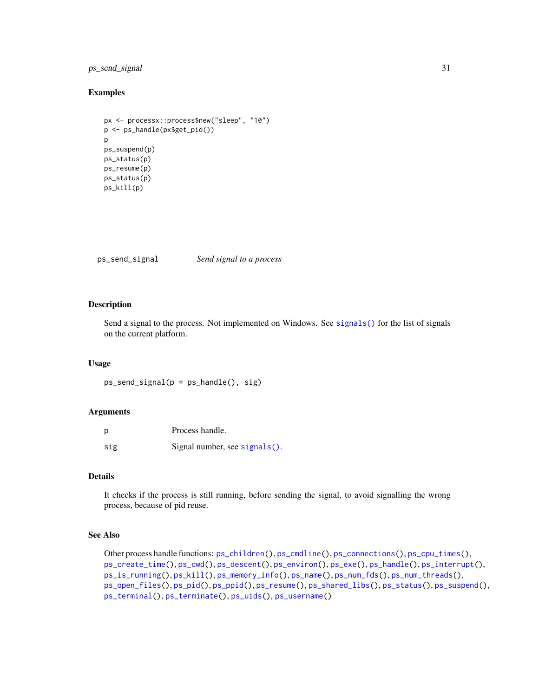# <span id="page-30-0"></span>ps\_send\_signal 31

### Examples

```
px <- processx::process$new("sleep", "10")
p <- ps_handle(px$get_pid())
p
ps_suspend(p)
ps_status(p)
ps_resume(p)
ps_status(p)
ps_kill(p)
```
<span id="page-30-1"></span>ps\_send\_signal *Send signal to a process*

# Description

Send a signal to the process. Not implemented on Windows. See [signals\(\)](#page-44-1) for the list of signals on the current platform.

#### Usage

```
ps_send_signal(p = ps_handle(), sig)
```
# Arguments

| p   | Process handle.               |
|-----|-------------------------------|
| sig | Signal number, see signals(). |

#### Details

It checks if the process is still running, before sending the signal, to avoid signalling the wrong process, because of pid reuse.

# See Also

```
Other process handle functions: ps_children(), ps_cmdline(), ps_connections(), ps_cpu_times(),
ps_create_time(), ps_cwd(), ps_descent(), ps_environ(), ps_exe(), ps_handle(), ps_interrupt(),
ps_is_running(), ps_kill(), ps_memory_info(), ps_name(), ps_num_fds(), ps_num_threads(),
ps_open_files(), ps_pid(), ps_ppid(), ps_resume(), ps_shared_libs(), ps_status(), ps_suspend(),
ps_terminal(), ps_terminate(), ps_uids(), ps_username()
```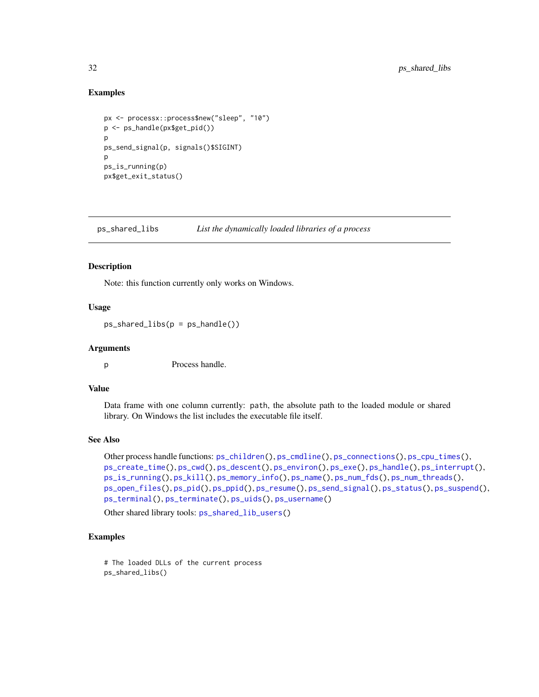### Examples

```
px <- processx::process$new("sleep", "10")
p <- ps_handle(px$get_pid())
\mathsf{D}ps_send_signal(p, signals()$SIGINT)
p
ps_is_running(p)
px$get_exit_status()
```
<span id="page-31-1"></span>ps\_shared\_libs *List the dynamically loaded libraries of a process*

# Description

Note: this function currently only works on Windows.

### Usage

```
ps_shared_libs(p = ps_handle())
```
### Arguments

p Process handle.

# Value

Data frame with one column currently: path, the absolute path to the loaded module or shared library. On Windows the list includes the executable file itself.

### See Also

```
Other process handle functions: ps_children(), ps_cmdline(), ps_connections(), ps_cpu_times(),
ps_create_time(), ps_cwd(), ps_descent(), ps_environ(), ps_exe(), ps_handle(), ps_interrupt(),
ps_is_running(), ps_kill(), ps_memory_info(), ps_name(), ps_num_fds(), ps_num_threads(),
ps_open_files(), ps_pid(), ps_ppid(), ps_resume(), ps_send_signal(), ps_status(), ps_suspend(),
ps_terminal(), ps_terminate(), ps_uids(), ps_username()
```
Other shared library tools: [ps\\_shared\\_lib\\_users\(](#page-32-1))

# Examples

```
# The loaded DLLs of the current process
ps_shared_libs()
```
<span id="page-31-0"></span>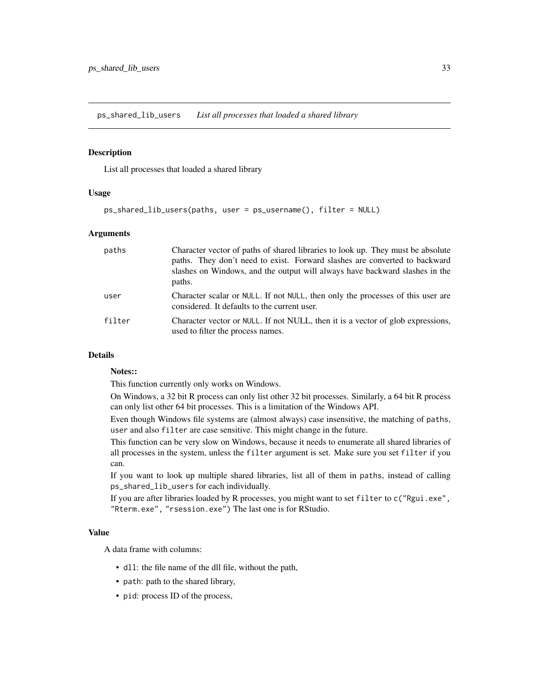<span id="page-32-1"></span><span id="page-32-0"></span>ps\_shared\_lib\_users *List all processes that loaded a shared library*

### Description

List all processes that loaded a shared library

# Usage

```
ps_shared_lib_users(paths, user = ps_username(), filter = NULL)
```
### **Arguments**

| paths  | Character vector of paths of shared libraries to look up. They must be absolute<br>paths. They don't need to exist. Forward slashes are converted to backward<br>slashes on Windows, and the output will always have backward slashes in the<br>paths. |
|--------|--------------------------------------------------------------------------------------------------------------------------------------------------------------------------------------------------------------------------------------------------------|
| user   | Character scalar or NULL. If not NULL, then only the processes of this user are<br>considered. It defaults to the current user.                                                                                                                        |
| filter | Character vector or NULL. If not NULL, then it is a vector of glob expressions,<br>used to filter the process names.                                                                                                                                   |

# Details

# Notes::

This function currently only works on Windows.

On Windows, a 32 bit R process can only list other 32 bit processes. Similarly, a 64 bit R process can only list other 64 bit processes. This is a limitation of the Windows API.

Even though Windows file systems are (almost always) case insensitive, the matching of paths, user and also filter are case sensitive. This might change in the future.

This function can be very slow on Windows, because it needs to enumerate all shared libraries of all processes in the system, unless the filter argument is set. Make sure you set filter if you can.

If you want to look up multiple shared libraries, list all of them in paths, instead of calling ps\_shared\_lib\_users for each individually.

If you are after libraries loaded by R processes, you might want to set filter to c("Rgui.exe", "Rterm.exe", "rsession.exe") The last one is for RStudio.

### Value

A data frame with columns:

- dll: the file name of the dll file, without the path,
- path: path to the shared library,
- pid: process ID of the process,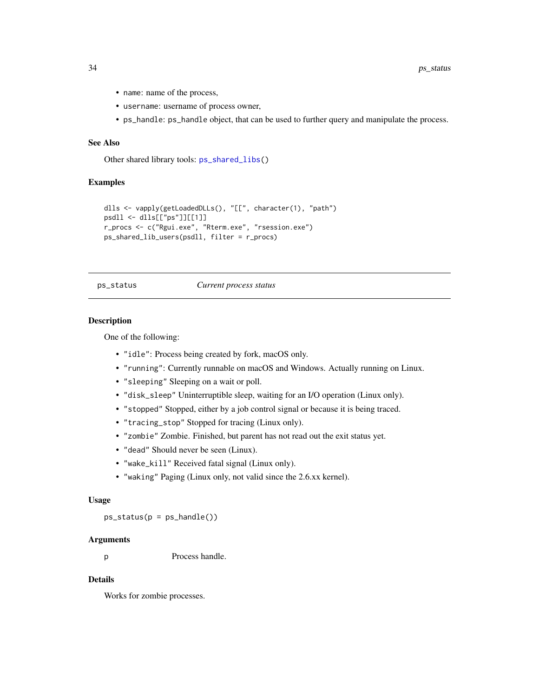- name: name of the process,
- username: username of process owner,
- ps\_handle: ps\_handle object, that can be used to further query and manipulate the process.

# See Also

Other shared library tools: [ps\\_shared\\_libs\(](#page-31-1))

### Examples

```
dlls <- vapply(getLoadedDLLs(), "[[", character(1), "path")
psdll <- dlls[["ps"]][[1]]
r_procs <- c("Rgui.exe", "Rterm.exe", "rsession.exe")
ps_shared_lib_users(psdll, filter = r_procs)
```
#### <span id="page-33-1"></span>ps\_status *Current process status*

#### **Description**

One of the following:

- "idle": Process being created by fork, macOS only.
- "running": Currently runnable on macOS and Windows. Actually running on Linux.
- "sleeping" Sleeping on a wait or poll.
- "disk\_sleep" Uninterruptible sleep, waiting for an I/O operation (Linux only).
- "stopped" Stopped, either by a job control signal or because it is being traced.
- "tracing\_stop" Stopped for tracing (Linux only).
- "zombie" Zombie. Finished, but parent has not read out the exit status yet.
- "dead" Should never be seen (Linux).
- "wake\_kill" Received fatal signal (Linux only).
- "waking" Paging (Linux only, not valid since the 2.6.xx kernel).

#### Usage

ps\_status(p = ps\_handle())

#### Arguments

p Process handle.

### Details

Works for zombie processes.

<span id="page-33-0"></span>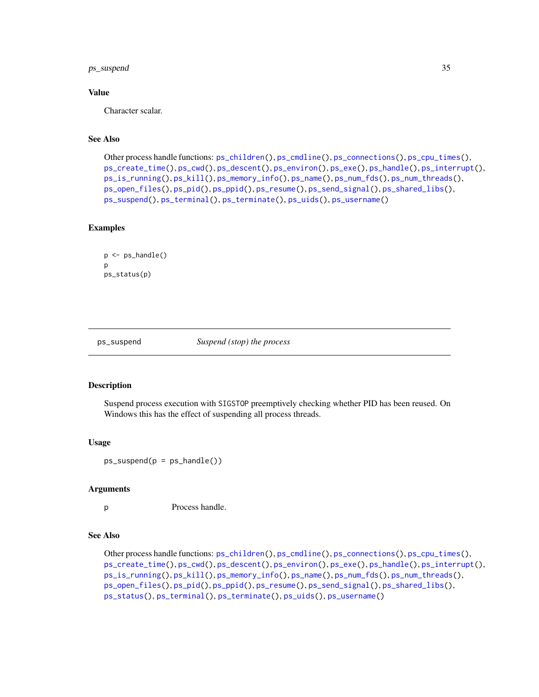# <span id="page-34-0"></span>ps\_suspend 35

### Value

Character scalar.

### See Also

```
Other process handle functions: ps_children(), ps_cmdline(), ps_connections(), ps_cpu_times(),
ps_create_time(), ps_cwd(), ps_descent(), ps_environ(), ps_exe(), ps_handle(), ps_interrupt(),
ps_is_running(), ps_kill(), ps_memory_info(), ps_name(), ps_num_fds(), ps_num_threads(),
ps_open_files(), ps_pid(), ps_ppid(), ps_resume(), ps_send_signal(), ps_shared_libs(),
ps_suspend(), ps_terminal(), ps_terminate(), ps_uids(), ps_username()
```
### Examples

```
p <- ps_handle()
p
ps_status(p)
```
<span id="page-34-1"></span>

ps\_suspend *Suspend (stop) the process*

### Description

Suspend process execution with SIGSTOP preemptively checking whether PID has been reused. On Windows this has the effect of suspending all process threads.

#### Usage

 $ps\_suspend(p = ps\_handle())$ 

### Arguments

p Process handle.

#### See Also

Other process handle functions: [ps\\_children\(](#page-5-1)), [ps\\_cmdline\(](#page-6-1)), [ps\\_connections\(](#page-7-1)), [ps\\_cpu\\_times\(](#page-8-1)), [ps\\_create\\_time\(](#page-9-1)), [ps\\_cwd\(](#page-10-1)), [ps\\_descent\(](#page-11-1)), [ps\\_environ\(](#page-13-1)), [ps\\_exe\(](#page-14-1)), [ps\\_handle\(](#page-16-1)), [ps\\_interrupt\(](#page-17-1)), [ps\\_is\\_running\(](#page-18-1)), [ps\\_kill\(](#page-19-1)), [ps\\_memory\\_info\(](#page-22-1)), [ps\\_name\(](#page-23-1)), [ps\\_num\\_fds\(](#page-24-1)), [ps\\_num\\_threads\(](#page-25-1)), [ps\\_open\\_files\(](#page-26-1)), [ps\\_pid\(](#page-27-1)), [ps\\_ppid\(](#page-28-1)), [ps\\_resume\(](#page-29-1)), [ps\\_send\\_signal\(](#page-30-1)), [ps\\_shared\\_libs\(](#page-31-1)), [ps\\_status\(](#page-33-1)), [ps\\_terminal\(](#page-38-1)), [ps\\_terminate\(](#page-39-1)), [ps\\_uids\(](#page-40-1)), [ps\\_username\(](#page-41-1))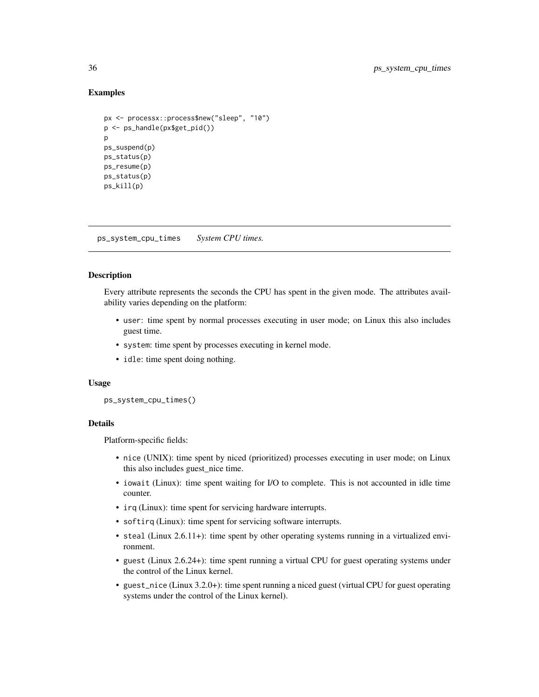### Examples

```
px <- processx::process$new("sleep", "10")
p <- ps_handle(px$get_pid())
p
ps_suspend(p)
ps_status(p)
ps_resume(p)
ps_status(p)
ps_kill(p)
```
ps\_system\_cpu\_times *System CPU times.*

# Description

Every attribute represents the seconds the CPU has spent in the given mode. The attributes availability varies depending on the platform:

- user: time spent by normal processes executing in user mode; on Linux this also includes guest time.
- system: time spent by processes executing in kernel mode.
- idle: time spent doing nothing.

### Usage

ps\_system\_cpu\_times()

# **Details**

Platform-specific fields:

- nice (UNIX): time spent by niced (prioritized) processes executing in user mode; on Linux this also includes guest\_nice time.
- iowait (Linux): time spent waiting for I/O to complete. This is not accounted in idle time counter.
- irq (Linux): time spent for servicing hardware interrupts.
- softirq (Linux): time spent for servicing software interrupts.
- steal (Linux 2.6.11+): time spent by other operating systems running in a virtualized environment.
- guest (Linux 2.6.24+): time spent running a virtual CPU for guest operating systems under the control of the Linux kernel.
- guest\_nice (Linux 3.2.0+): time spent running a niced guest (virtual CPU for guest operating systems under the control of the Linux kernel).

<span id="page-35-0"></span>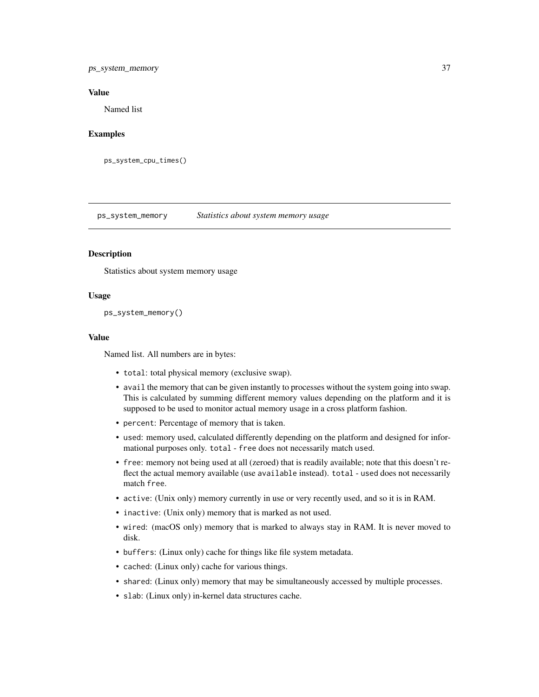# <span id="page-36-0"></span>ps\_system\_memory 37

### Value

Named list

### Examples

ps\_system\_cpu\_times()

<span id="page-36-1"></span>ps\_system\_memory *Statistics about system memory usage*

### Description

Statistics about system memory usage

### Usage

ps\_system\_memory()

### Value

Named list. All numbers are in bytes:

- total: total physical memory (exclusive swap).
- avail the memory that can be given instantly to processes without the system going into swap. This is calculated by summing different memory values depending on the platform and it is supposed to be used to monitor actual memory usage in a cross platform fashion.
- percent: Percentage of memory that is taken.
- used: memory used, calculated differently depending on the platform and designed for informational purposes only. total - free does not necessarily match used.
- free: memory not being used at all (zeroed) that is readily available; note that this doesn't reflect the actual memory available (use available instead). total - used does not necessarily match free.
- active: (Unix only) memory currently in use or very recently used, and so it is in RAM.
- inactive: (Unix only) memory that is marked as not used.
- wired: (macOS only) memory that is marked to always stay in RAM. It is never moved to disk.
- buffers: (Linux only) cache for things like file system metadata.
- cached: (Linux only) cache for various things.
- shared: (Linux only) memory that may be simultaneously accessed by multiple processes.
- slab: (Linux only) in-kernel data structures cache.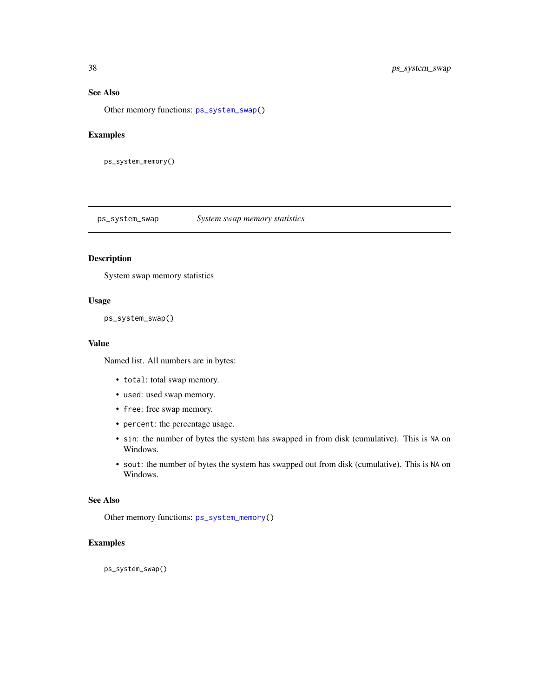# See Also

Other memory functions: [ps\\_system\\_swap\(](#page-37-1))

# Examples

ps\_system\_memory()

<span id="page-37-1"></span>ps\_system\_swap *System swap memory statistics*

### Description

System swap memory statistics

# Usage

ps\_system\_swap()

### Value

Named list. All numbers are in bytes:

- total: total swap memory.
- used: used swap memory.
- free: free swap memory.
- percent: the percentage usage.
- sin: the number of bytes the system has swapped in from disk (cumulative). This is NA on Windows.
- sout: the number of bytes the system has swapped out from disk (cumulative). This is NA on Windows.

### See Also

Other memory functions: [ps\\_system\\_memory\(](#page-36-1))

# Examples

ps\_system\_swap()

<span id="page-37-0"></span>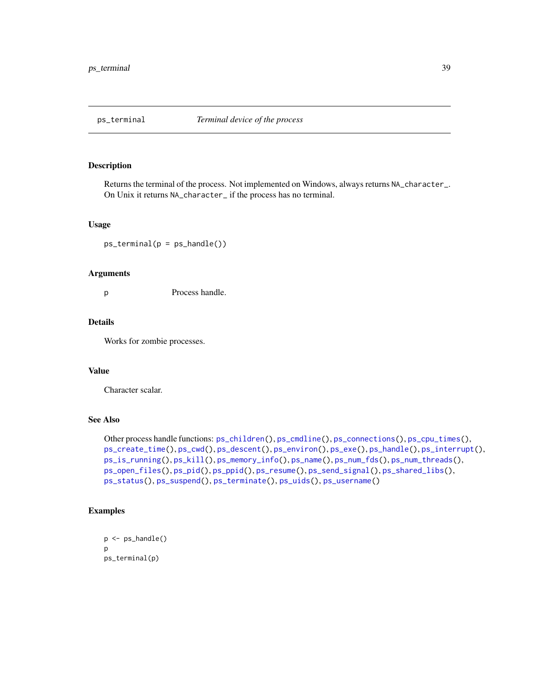<span id="page-38-1"></span><span id="page-38-0"></span>

Returns the terminal of the process. Not implemented on Windows, always returns NA\_character\_. On Unix it returns NA\_character\_ if the process has no terminal.

#### Usage

 $ps_{\text{t}}$  erminal( $p = ps_{\text{t}}$ ) andle())

#### Arguments

p Process handle.

# Details

Works for zombie processes.

### Value

Character scalar.

## See Also

```
Other process handle functions: ps_children(), ps_cmdline(), ps_connections(), ps_cpu_times(),
ps_create_time(), ps_cwd(), ps_descent(), ps_environ(), ps_exe(), ps_handle(), ps_interrupt(),
ps_is_running(), ps_kill(), ps_memory_info(), ps_name(), ps_num_fds(), ps_num_threads(),
ps_open_files(), ps_pid(), ps_ppid(), ps_resume(), ps_send_signal(), ps_shared_libs(),
ps_status(), ps_suspend(), ps_terminate(), ps_uids(), ps_username()
```
### Examples

```
p <- ps_handle()
p
ps_terminal(p)
```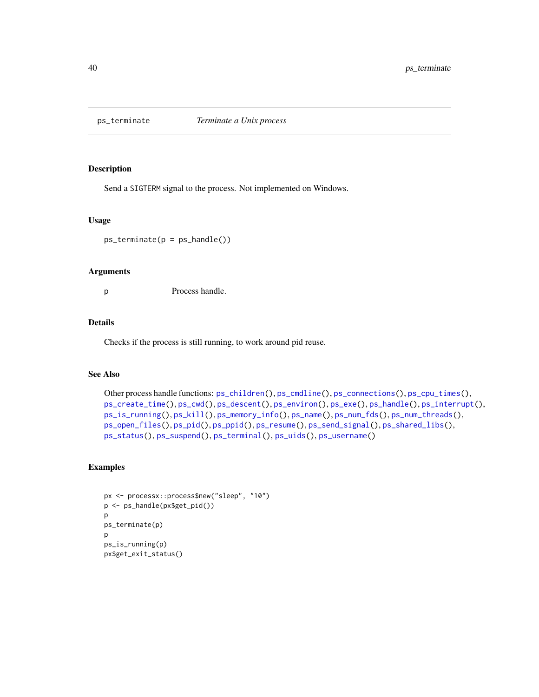<span id="page-39-1"></span><span id="page-39-0"></span>

Send a SIGTERM signal to the process. Not implemented on Windows.

#### Usage

 $ps_{\text{t}}$ erminate( $p = ps_{\text{t}}$ andle())

### Arguments

p Process handle.

# Details

Checks if the process is still running, to work around pid reuse.

# See Also

```
Other process handle functions: ps_children(), ps_cmdline(), ps_connections(), ps_cpu_times(),
ps_create_time(), ps_cwd(), ps_descent(), ps_environ(), ps_exe(), ps_handle(), ps_interrupt(),
ps_is_running(), ps_kill(), ps_memory_info(), ps_name(), ps_num_fds(), ps_num_threads(),
ps_open_files(), ps_pid(), ps_ppid(), ps_resume(), ps_send_signal(), ps_shared_libs(),
ps_status(), ps_suspend(), ps_terminal(), ps_uids(), ps_username()
```
### Examples

```
px <- processx::process$new("sleep", "10")
p <- ps_handle(px$get_pid())
p
ps_terminate(p)
p
ps_is_running(p)
px$get_exit_status()
```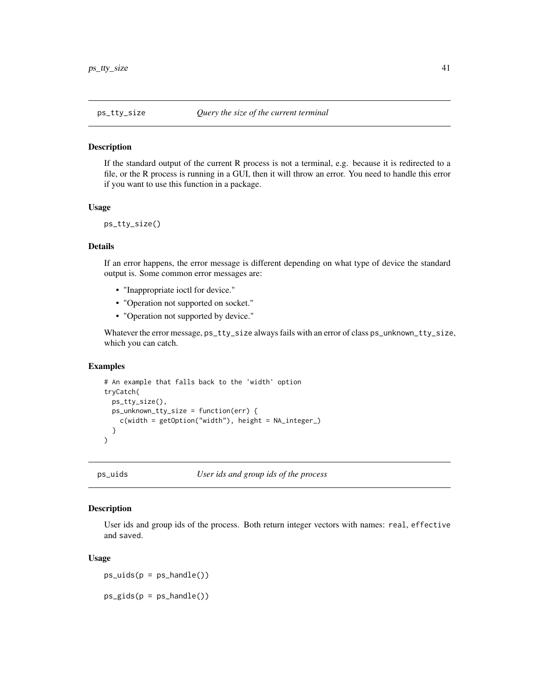<span id="page-40-0"></span>

If the standard output of the current R process is not a terminal, e.g. because it is redirected to a file, or the R process is running in a GUI, then it will throw an error. You need to handle this error if you want to use this function in a package.

### Usage

```
ps_tty_size()
```
# Details

If an error happens, the error message is different depending on what type of device the standard output is. Some common error messages are:

- "Inappropriate ioctl for device."
- "Operation not supported on socket."
- "Operation not supported by device."

Whatever the error message, ps\_tty\_size always fails with an error of class ps\_unknown\_tty\_size, which you can catch.

### Examples

```
# An example that falls back to the 'width' option
tryCatch(
 ps_tty_size(),
 ps_unknown_tty_size = function(err) {
    c(width = getOption("width"), height = NA_integer_)
 }
\lambda
```
<span id="page-40-1"></span>ps\_uids *User ids and group ids of the process*

### Description

User ids and group ids of the process. Both return integer vectors with names: real, effective and saved.

#### Usage

 $ps\_uids(p = ps\_handle())$ 

 $ps_gids(p = ps_handle())$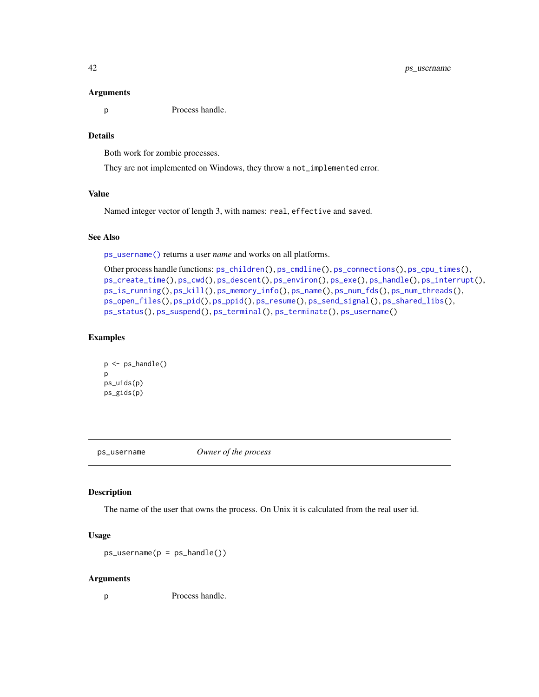#### Arguments

p Process handle.

# Details

Both work for zombie processes.

They are not implemented on Windows, they throw a not\_implemented error.

# Value

Named integer vector of length 3, with names: real, effective and saved.

# See Also

[ps\\_username\(\)](#page-41-1) returns a user *name* and works on all platforms.

```
Other process handle functions: ps_children(), ps_cmdline(), ps_connections(), ps_cpu_times(),
ps_create_time(), ps_cwd(), ps_descent(), ps_environ(), ps_exe(), ps_handle(), ps_interrupt(),
ps_is_running(), ps_kill(), ps_memory_info(), ps_name(), ps_num_fds(), ps_num_threads(),
ps_open_files(), ps_pid(), ps_ppid(), ps_resume(), ps_send_signal(), ps_shared_libs(),
ps_status(), ps_suspend(), ps_terminal(), ps_terminate(), ps_username()
```
# Examples

```
p <- ps_handle()
p
ps_uids(p)
ps_gids(p)
```
<span id="page-41-1"></span>ps\_username *Owner of the process*

### Description

The name of the user that owns the process. On Unix it is calculated from the real user id.

### Usage

 $ps_$ username( $p = ps_$ handle())

# Arguments

p Process handle.

<span id="page-41-0"></span>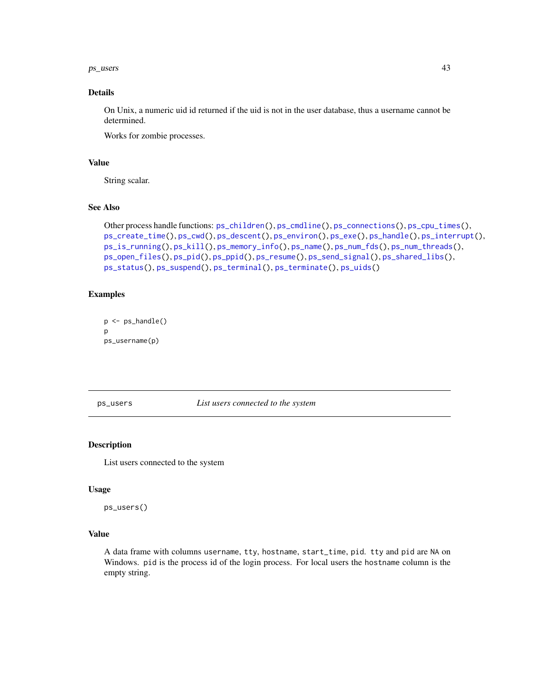#### <span id="page-42-0"></span> $p_{\rm s}$  users  $43$

# Details

On Unix, a numeric uid id returned if the uid is not in the user database, thus a username cannot be determined.

Works for zombie processes.

### Value

String scalar.

# See Also

```
Other process handle functions: ps_children(), ps_cmdline(), ps_connections(), ps_cpu_times(),
ps_create_time(), ps_cwd(), ps_descent(), ps_environ(), ps_exe(), ps_handle(), ps_interrupt(),
ps_is_running(), ps_kill(), ps_memory_info(), ps_name(), ps_num_fds(), ps_num_threads(),
ps_open_files(), ps_pid(), ps_ppid(), ps_resume(), ps_send_signal(), ps_shared_libs(),
ps_status(), ps_suspend(), ps_terminal(), ps_terminate(), ps_uids()
```
### Examples

```
p \leftarrow ps\_handle()p
ps_username(p)
```
ps\_users *List users connected to the system*

# Description

List users connected to the system

### Usage

ps\_users()

# Value

A data frame with columns username, tty, hostname, start\_time, pid. tty and pid are NA on Windows. pid is the process id of the login process. For local users the hostname column is the empty string.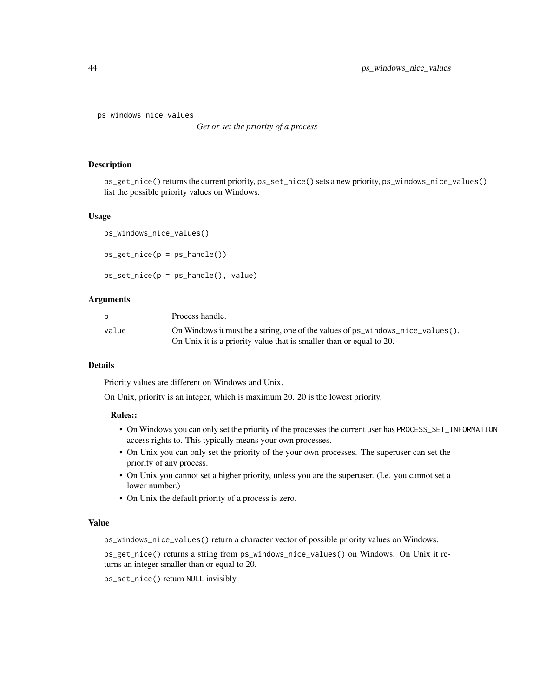<span id="page-43-0"></span>ps\_windows\_nice\_values

*Get or set the priority of a process*

### **Description**

ps\_get\_nice() returns the current priority, ps\_set\_nice() sets a new priority, ps\_windows\_nice\_values() list the possible priority values on Windows.

### Usage

ps\_windows\_nice\_values()

```
ps\_get\_nice(p = ps\_handle())
```

```
ps_set_nice(p = ps_handle(), value)
```
### Arguments

| D     | Process handle.                                                                      |
|-------|--------------------------------------------------------------------------------------|
| value | On Windows it must be a string, one of the values of $ps\_windows\_nice\_values()$ . |
|       | On Unix it is a priority value that is smaller than or equal to 20.                  |

#### **Details**

Priority values are different on Windows and Unix.

On Unix, priority is an integer, which is maximum 20. 20 is the lowest priority.

#### Rules::

- On Windows you can only set the priority of the processes the current user has PROCESS\_SET\_INFORMATION access rights to. This typically means your own processes.
- On Unix you can only set the priority of the your own processes. The superuser can set the priority of any process.
- On Unix you cannot set a higher priority, unless you are the superuser. (I.e. you cannot set a lower number.)
- On Unix the default priority of a process is zero.

#### Value

ps\_windows\_nice\_values() return a character vector of possible priority values on Windows.

ps\_get\_nice() returns a string from ps\_windows\_nice\_values() on Windows. On Unix it returns an integer smaller than or equal to 20.

ps\_set\_nice() return NULL invisibly.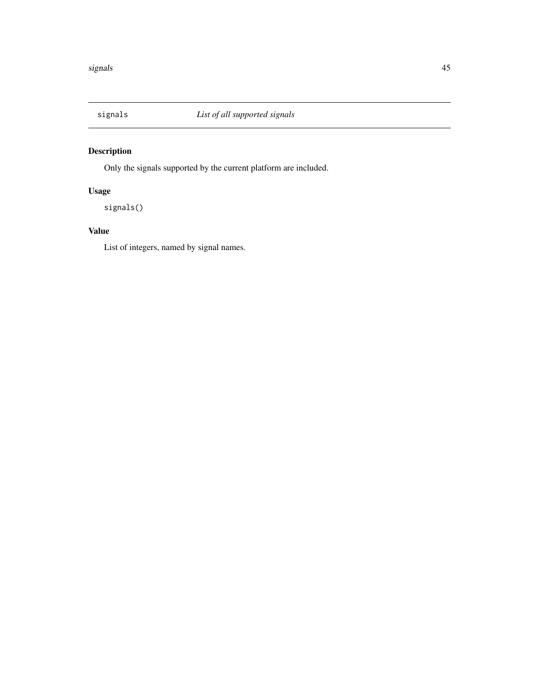<span id="page-44-1"></span><span id="page-44-0"></span>

Only the signals supported by the current platform are included.

# Usage

signals()

# Value

List of integers, named by signal names.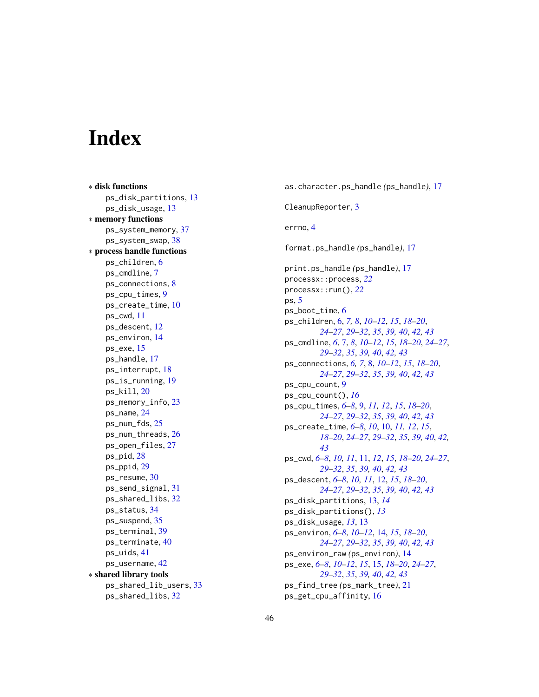# <span id="page-45-0"></span>**Index**

∗ disk functions ps\_disk\_partitions , [13](#page-12-0) ps\_disk\_usage , [13](#page-12-0) ∗ memory functions ps\_system\_memory , [37](#page-36-0) ps\_system\_swap , [38](#page-37-0) ∗ process handle functions ps\_children , [6](#page-5-0) ps\_cmdline , [7](#page-6-0) ps\_connections , [8](#page-7-0) ps\_cpu\_times , [9](#page-8-0) ps\_create\_time , [10](#page-9-0) ps\_cwd , [11](#page-10-0) ps\_descent , [12](#page-11-0) ps\_environ , [14](#page-13-0) ps\_exe , [15](#page-14-0) ps\_handle , [17](#page-16-0) ps\_interrupt , [18](#page-17-0) ps\_is\_running , [19](#page-18-0) ps\_kill , [20](#page-19-0) ps\_memory\_info , [23](#page-22-0) ps\_name , [24](#page-23-0) ps\_num\_fds , [25](#page-24-0) ps\_num\_threads , [26](#page-25-0) ps\_open\_files , [27](#page-26-0) ps\_pid , [28](#page-27-0) ps\_ppid , [29](#page-28-0) ps\_resume , [30](#page-29-0) ps\_send\_signal , [31](#page-30-0) ps\_shared\_libs , [32](#page-31-0) ps\_status , [34](#page-33-0) ps\_suspend , [35](#page-34-0) ps\_terminal , [39](#page-38-0) ps\_terminate , [40](#page-39-0) ps\_uids , [41](#page-40-0) ps\_username , [42](#page-41-0) ∗ shared library tools ps\_shared\_lib\_users , [33](#page-32-0) ps\_shared\_libs , [32](#page-31-0)

as.character.ps\_handle *(*ps\_handle *)* , [17](#page-16-0) CleanupReporter , [3](#page-2-0) errno , [4](#page-3-0) format.ps\_handle *(*ps\_handle *)* , [17](#page-16-0) print.ps\_handle *(*ps\_handle *)* , [17](#page-16-0) processx::process , *[22](#page-21-0)* processx::run() , *[22](#page-21-0)* ps , [5](#page-4-0) ps\_boot\_time , [6](#page-5-0) ps\_children , [6](#page-5-0) , *[7,](#page-6-0) [8](#page-7-0)* , *[10](#page-9-0)[–12](#page-11-0)* , *[15](#page-14-0)* , *[18](#page-17-0) [–20](#page-19-0)* , *[24](#page-23-0) [–27](#page-26-0)* , *[29](#page-28-0) [–32](#page-31-0)* , *[35](#page-34-0)* , *[39](#page-38-0) , [40](#page-39-0)* , *[42](#page-41-0) , [43](#page-42-0)* ps\_cmdline , *[6](#page-5-0)* , [7](#page-6-0) , *[8](#page-7-0)* , *[10](#page-9-0)[–12](#page-11-0)* , *[15](#page-14-0)* , *[18](#page-17-0) [–20](#page-19-0)* , *[24](#page-23-0) [–27](#page-26-0)* , *[29](#page-28-0) [–32](#page-31-0)* , *[35](#page-34-0)* , *[39](#page-38-0) , [40](#page-39-0)* , *[42](#page-41-0) , [43](#page-42-0)* ps\_connections , *[6,](#page-5-0) [7](#page-6-0)* , [8](#page-7-0) , *[10](#page-9-0)[–12](#page-11-0)* , *[15](#page-14-0)* , *[18](#page-17-0) [–20](#page-19-0)* , *[24](#page-23-0) [–27](#page-26-0)* , *[29](#page-28-0) [–32](#page-31-0)* , *[35](#page-34-0)* , *[39](#page-38-0) , [40](#page-39-0)* , *[42](#page-41-0) , [43](#page-42-0)* ps\_cpu\_count , [9](#page-8-0) ps\_cpu\_count() , *[16](#page-15-0)* ps\_cpu\_times , *[6–](#page-5-0) [8](#page-7-0)* , [9](#page-8-0) , *[11](#page-10-0) , [12](#page-11-0)* , *[15](#page-14-0)* , *[18](#page-17-0) [–20](#page-19-0)* , *[24](#page-23-0) [–27](#page-26-0)* , *[29](#page-28-0) [–32](#page-31-0)* , *[35](#page-34-0)* , *[39](#page-38-0) , [40](#page-39-0)* , *[42](#page-41-0) , [43](#page-42-0)* ps\_create\_time , *[6–](#page-5-0) [8](#page-7-0)* , *[10](#page-9-0)* , [10](#page-9-0) , *[11](#page-10-0) , [12](#page-11-0)* , *[15](#page-14-0)* , *[18](#page-17-0) [–20](#page-19-0)* , *[24](#page-23-0) [–27](#page-26-0)* , *[29](#page-28-0) [–32](#page-31-0)* , *[35](#page-34-0)* , *[39](#page-38-0) , [40](#page-39-0)* , *[42](#page-41-0) , [43](#page-42-0)* ps\_cwd , *[6–](#page-5-0) [8](#page-7-0)* , *[10](#page-9-0) , [11](#page-10-0)* , [11](#page-10-0) , *[12](#page-11-0)* , *[15](#page-14-0)* , *[18](#page-17-0) [–20](#page-19-0)* , *[24](#page-23-0) [–27](#page-26-0)* , *[29](#page-28-0) [–32](#page-31-0)* , *[35](#page-34-0)* , *[39](#page-38-0) , [40](#page-39-0)* , *[42](#page-41-0) , [43](#page-42-0)* ps\_descent , *[6–](#page-5-0) [8](#page-7-0)* , *[10](#page-9-0) , [11](#page-10-0)* , [12](#page-11-0) , *[15](#page-14-0)* , *[18](#page-17-0) [–20](#page-19-0)* , *[24](#page-23-0) [–27](#page-26-0)* , *[29](#page-28-0) [–32](#page-31-0)* , *[35](#page-34-0)* , *[39](#page-38-0) , [40](#page-39-0)* , *[42](#page-41-0) , [43](#page-42-0)* ps\_disk\_partitions , [13](#page-12-0) , *[14](#page-13-0)* ps\_disk\_partitions() , *[13](#page-12-0)* ps\_disk\_usage , *[13](#page-12-0)* , [13](#page-12-0) ps\_environ , *[6–](#page-5-0) [8](#page-7-0)* , *[10](#page-9-0)[–12](#page-11-0)* , [14](#page-13-0) , *[15](#page-14-0)* , *[18](#page-17-0) [–20](#page-19-0)* , *[24](#page-23-0) [–27](#page-26-0)* , *[29](#page-28-0) [–32](#page-31-0)* , *[35](#page-34-0)* , *[39](#page-38-0) , [40](#page-39-0)* , *[42](#page-41-0) , [43](#page-42-0)* ps\_environ\_raw *(*ps\_environ *)* , [14](#page-13-0) ps\_exe , *[6–](#page-5-0) [8](#page-7-0)* , *[10](#page-9-0)[–12](#page-11-0)* , *[15](#page-14-0)* , [15](#page-14-0) , *[18](#page-17-0) [–20](#page-19-0)* , *[24](#page-23-0) [–27](#page-26-0)* , *[29](#page-28-0) [–32](#page-31-0)* , *[35](#page-34-0)* , *[39](#page-38-0) , [40](#page-39-0)* , *[42](#page-41-0) , [43](#page-42-0)* ps\_find\_tree *(*ps\_mark\_tree *)* , [21](#page-20-0) ps\_get\_cpu\_affinity , [16](#page-15-0)